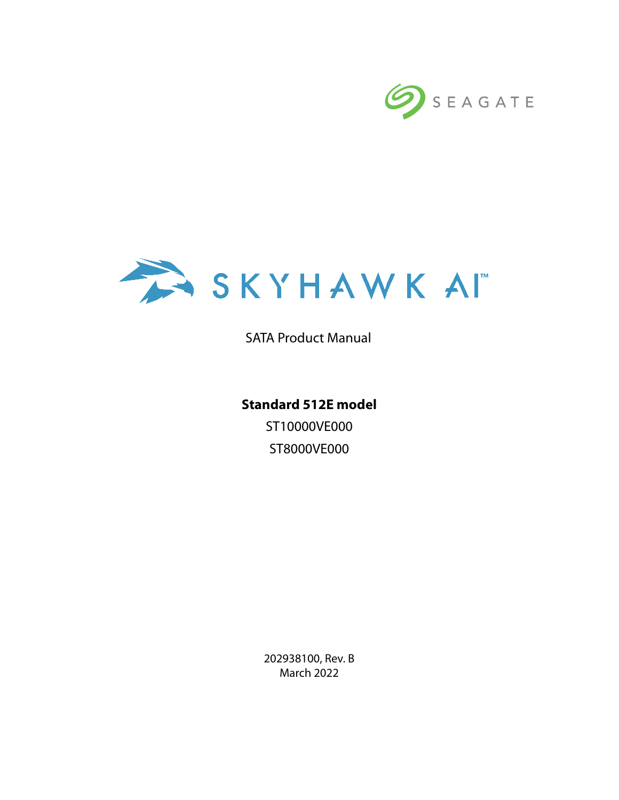



SATA Product Manual

**Standard 512E model** ST10000VE000 ST8000VE000

> 202938100, Rev. B March 2022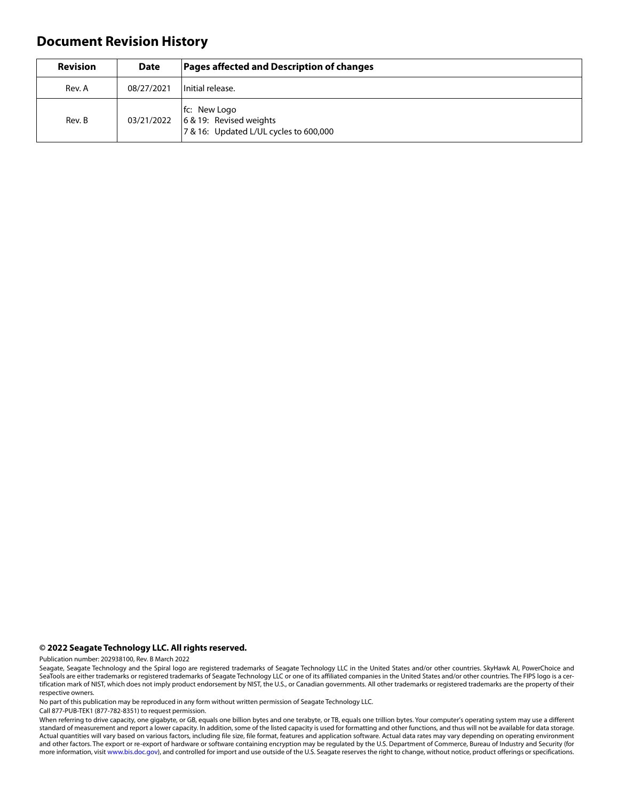# **Document Revision History**

| <b>Revision</b> | <b>Date</b> | Pages affected and Description of changes                                         |  |
|-----------------|-------------|-----------------------------------------------------------------------------------|--|
| Rev. A          | 08/27/2021  | Initial release.                                                                  |  |
| Rev. B          | 03/21/2022  | fc: New Logo<br>6 & 19: Revised weights<br>7 & 16: Updated L/UL cycles to 600,000 |  |

#### **© 2022 Seagate Technology LLC. All rights reserved.**

Publication number: 202938100, Rev. B March 2022

No part of this publication may be reproduced in any form without written permission of Seagate Technology LLC.

Call 877-PUB-TEK1 (877-782-8351) to request permission.

When referring to drive capacity, one gigabyte, or GB, equals one billion bytes and one terabyte, or TB, equals one trillion bytes. Your computer's operating system may use a different standard of measurement and report a lower capacity. In addition, some of the listed capacity is used for formatting and other functions, and thus will not be available for data storage. Actual quantities will vary based on various factors, including file size, file format, features and application software. Actual data rates may vary depending on operating environment and other factors. The export or re-export of hardware or software containing encryption may be regulated by the U.S. Department of Commerce, Bureau of Industry and Security (for more information, visit [www.bis.doc.gov](http://www.bis.doc.gov)), and controlled for import and use outside of the U.S. Seagate reserves the right to change, without notice, product offerings or specifications.

Seagate, Seagate Technology and the Spiral logo are registered trademarks of Seagate Technology LLC in the United States and/or other countries. SkyHawk AI, PowerChoice and SeaTools are either trademarks or registered trademarks of Seagate Technology LLC or one of its affiliated companies in the United States and/or other countries. The FIPS logo is a certification mark of NIST, which does not imply product endorsement by NIST, the U.S., or Canadian governments. All other trademarks or registered trademarks are the property of their respective owners.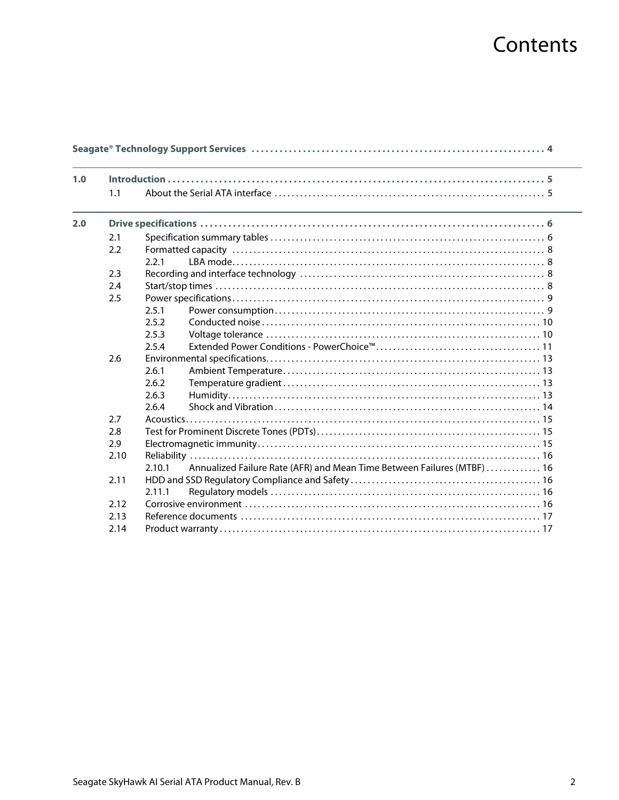# Contents

| 1.0 |      |        |                                                                         |
|-----|------|--------|-------------------------------------------------------------------------|
|     |      |        |                                                                         |
|     | 1.1  |        |                                                                         |
| 2.0 |      |        |                                                                         |
|     | 2.1  |        |                                                                         |
|     | 2.2  |        |                                                                         |
|     |      | 2.2.1  |                                                                         |
|     | 2.3  |        |                                                                         |
|     | 2.4  |        |                                                                         |
|     | 2.5  |        |                                                                         |
|     |      | 2.5.1  |                                                                         |
|     |      | 2.5.2  |                                                                         |
|     |      | 2.5.3  |                                                                         |
|     |      | 2.5.4  |                                                                         |
|     | 2.6  |        |                                                                         |
|     |      | 2.6.1  |                                                                         |
|     |      | 2.6.2  |                                                                         |
|     |      | 2.6.3  |                                                                         |
|     |      | 2.6.4  |                                                                         |
|     | 2.7  |        |                                                                         |
|     | 2.8  |        |                                                                         |
|     | 2.9  |        |                                                                         |
|     | 2.10 |        |                                                                         |
|     |      | 2.10.1 | Annualized Failure Rate (AFR) and Mean Time Between Failures (MTBF)  16 |
|     | 2.11 |        |                                                                         |
|     |      | 2.11.1 |                                                                         |
|     | 2.12 |        |                                                                         |
|     | 2.13 |        |                                                                         |
|     | 2.14 |        |                                                                         |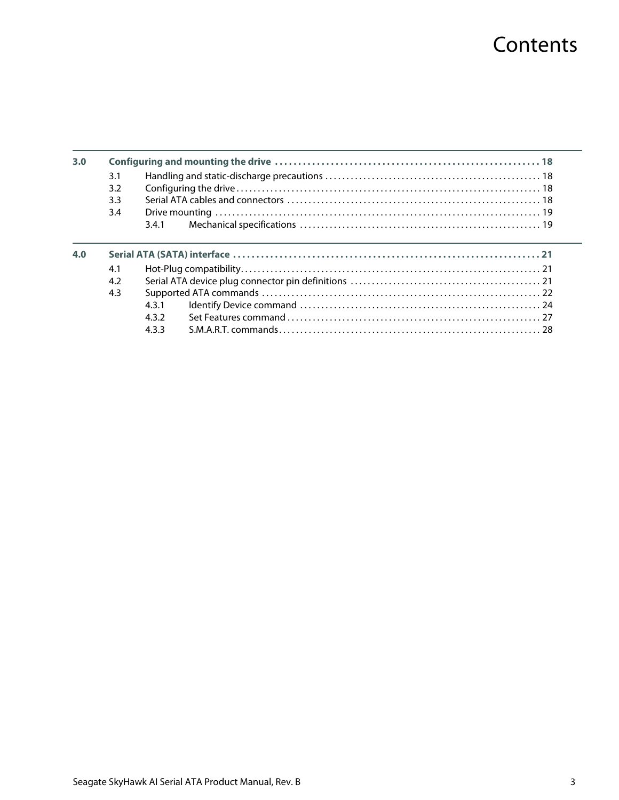# **Contents**

| 3.0 |     |       |  |
|-----|-----|-------|--|
|     | 3.1 |       |  |
|     | 3.2 |       |  |
|     | 3.3 |       |  |
|     | 3.4 |       |  |
|     |     | 3.4.1 |  |
|     |     |       |  |
|     |     |       |  |
| 4.0 |     |       |  |
|     | 4.1 |       |  |
|     | 4.2 |       |  |
|     | 4.3 |       |  |
|     |     | 4.3.1 |  |
|     |     | 432   |  |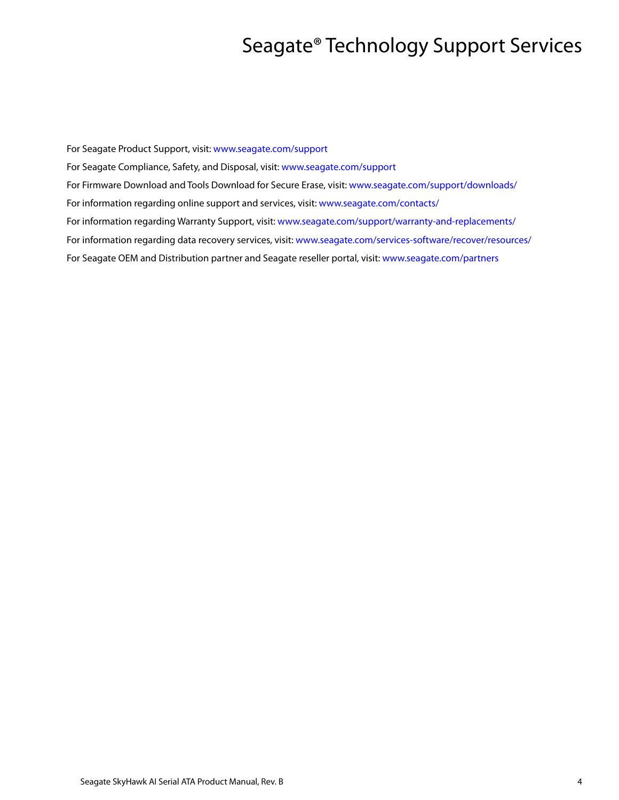# Seagate® Technology Support Services

<span id="page-4-0"></span>For Seagate Product Support, visit: [www.seagate.com/support](https://www.seagate.com/support) For Seagate Compliance, Safety, and Disposal, visit: [www.seagate.com/support](https://www.seagate.com/support) [For Firmware Download and Tools Download for Secure Erase, visit:](https://www.seagate.com/support/downloads/) www.seagate.com/support/downloads/ For information regarding online support and services, visit: [www.seagate.com/contacts/](http://www.seagate.com/contacts/) [For information regarding Warranty Support, visit: w](http://www.seagate.com/support/warranty-and-replacements/)ww.seagate.com/support/warranty-and-replacements/ For information regarding data recovery services, visit: [www.seagate.com/services-software/recover/resources/](http://www.seagate.com/services-software/recover/resources/) [For Seagate OEM and Distribution partner and Seagate reseller portal, visit:](http://www.seagate.com/partners) www.seagate.com/partners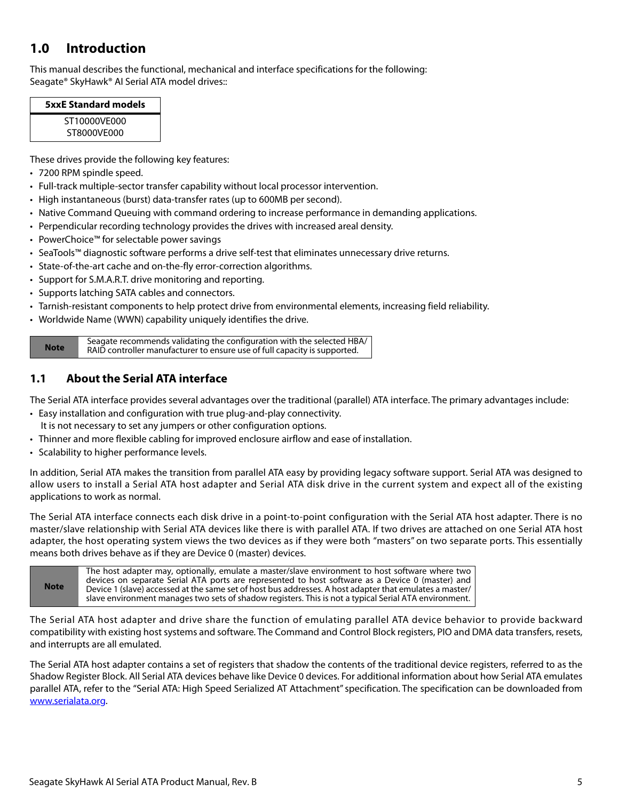# <span id="page-5-0"></span>**1.0 Introduction**

This manual describes the functional, mechanical and interface specifications for the following: Seagate® SkyHawk® AI Serial ATA model drives::

| <b>5xxE Standard models</b> |  |  |
|-----------------------------|--|--|
| ST10000VF000                |  |  |
| ST8000VF000                 |  |  |

These drives provide the following key features:

- 7200 RPM spindle speed.
- Full-track multiple-sector transfer capability without local processor intervention.
- High instantaneous (burst) data-transfer rates (up to 600MB per second).
- Native Command Queuing with command ordering to increase performance in demanding applications.
- Perpendicular recording technology provides the drives with increased areal density.
- PowerChoice™ for selectable power savings
- SeaTools™ diagnostic software performs a drive self-test that eliminates unnecessary drive returns.
- State-of-the-art cache and on-the-fly error-correction algorithms.
- Support for S.M.A.R.T. drive monitoring and reporting.
- Supports latching SATA cables and connectors.
- Tarnish-resistant components to help protect drive from environmental elements, increasing field reliability.
- Worldwide Name (WWN) capability uniquely identifies the drive.

**Note** Seagate recommends validating the configuration with the selected HBA/ RAID controller manufacturer to ensure use of full capacity is supported.

# <span id="page-5-1"></span>**1.1 About the Serial ATA interface**

The Serial ATA interface provides several advantages over the traditional (parallel) ATA interface. The primary advantages include:

- Easy installation and configuration with true plug-and-play connectivity. It is not necessary to set any jumpers or other configuration options.
- Thinner and more flexible cabling for improved enclosure airflow and ease of installation.
- Scalability to higher performance levels.

In addition, Serial ATA makes the transition from parallel ATA easy by providing legacy software support. Serial ATA was designed to allow users to install a Serial ATA host adapter and Serial ATA disk drive in the current system and expect all of the existing applications to work as normal.

The Serial ATA interface connects each disk drive in a point-to-point configuration with the Serial ATA host adapter. There is no master/slave relationship with Serial ATA devices like there is with parallel ATA. If two drives are attached on one Serial ATA host adapter, the host operating system views the two devices as if they were both "masters" on two separate ports. This essentially means both drives behave as if they are Device 0 (master) devices.

| <b>Note</b> | The host adapter may, optionally, emulate a master/slave environment to host software where two<br>devices on separate Serial ATA ports are represented to host software as a Device 0 (master) and<br>Device 1 (slave) accessed at the same set of host bus addresses. A host adapter that emulates a master / l<br>slave environment manages two sets of shadow registers. This is not a typical Serial ATA environment. |
|-------------|----------------------------------------------------------------------------------------------------------------------------------------------------------------------------------------------------------------------------------------------------------------------------------------------------------------------------------------------------------------------------------------------------------------------------|
|-------------|----------------------------------------------------------------------------------------------------------------------------------------------------------------------------------------------------------------------------------------------------------------------------------------------------------------------------------------------------------------------------------------------------------------------------|

The Serial ATA host adapter and drive share the function of emulating parallel ATA device behavior to provide backward compatibility with existing host systems and software. The Command and Control Block registers, PIO and DMA data transfers, resets, and interrupts are all emulated.

The Serial ATA host adapter contains a set of registers that shadow the contents of the traditional device registers, referred to as the Shadow Register Block. All Serial ATA devices behave like Device 0 devices. For additional information about how Serial ATA emulates parallel ATA, refer to the "Serial ATA: High Speed Serialized AT Attachment" specification. The specification can be downloaded from [www.serialata.or](http://www.serialata.org)g.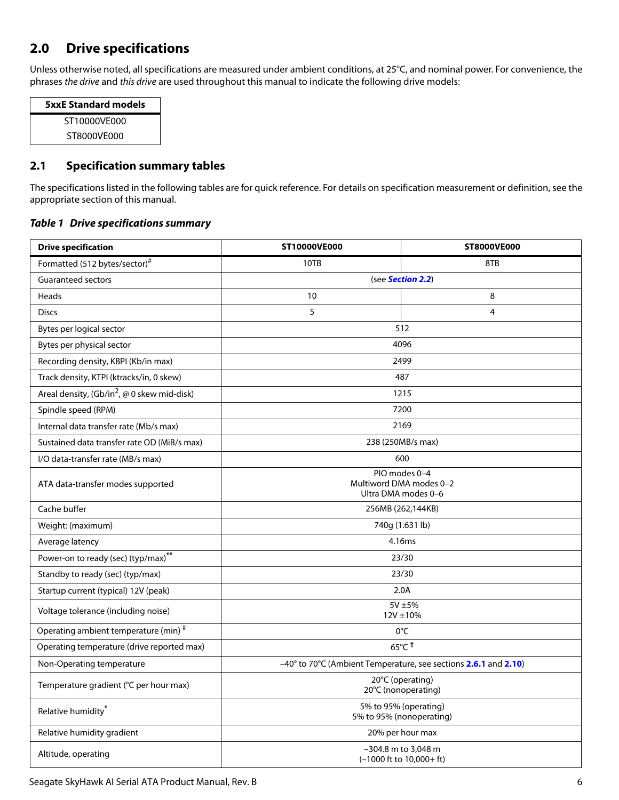# <span id="page-6-0"></span>**2.0 Drive specifications**

Unless otherwise noted, all specifications are measured under ambient conditions, at 25°C, and nominal power. For convenience, the phrases the drive and this drive are used throughout this manual to indicate the following drive models:

| <b>5xxE Standard models</b> |  |  |
|-----------------------------|--|--|
| ST10000VF000                |  |  |
| ST8000VF000                 |  |  |

# <span id="page-6-1"></span>**2.1 Specification summary tables**

The specifications listed in the following tables are for quick reference. For details on specification measurement or definition, see the appropriate section of this manual.

### *Table 1 Drive specifications summary*

| <b>Drive specification</b>                    | ST10000VE000                                                    | ST8000VE000                                                         |  |
|-----------------------------------------------|-----------------------------------------------------------------|---------------------------------------------------------------------|--|
| Formatted (512 bytes/sector) <sup>#</sup>     | 10TB                                                            | 8TB                                                                 |  |
| <b>Guaranteed sectors</b>                     | (see Section 2.2)                                               |                                                                     |  |
| Heads                                         | 10<br>8                                                         |                                                                     |  |
| <b>Discs</b>                                  | 5                                                               | 4                                                                   |  |
| Bytes per logical sector                      | 512                                                             |                                                                     |  |
| Bytes per physical sector                     | 4096                                                            |                                                                     |  |
| Recording density, KBPI (Kb/in max)           |                                                                 | 2499                                                                |  |
| Track density, KTPI (ktracks/in, 0 skew)      |                                                                 | 487                                                                 |  |
| Areal density, $(Gb/in^2, @ 0$ skew mid-disk) |                                                                 | 1215                                                                |  |
| Spindle speed (RPM)                           |                                                                 | 7200                                                                |  |
| Internal data transfer rate (Mb/s max)        |                                                                 | 2169                                                                |  |
| Sustained data transfer rate OD (MiB/s max)   |                                                                 | 238 (250MB/s max)                                                   |  |
| I/O data-transfer rate (MB/s max)             |                                                                 | 600                                                                 |  |
| ATA data-transfer modes supported             | PIO modes 0-4<br>Multiword DMA modes 0-2<br>Ultra DMA modes 0-6 |                                                                     |  |
| Cache buffer                                  | 256MB (262,144KB)                                               |                                                                     |  |
| Weight: (maximum)                             | 740g (1.631 lb)                                                 |                                                                     |  |
| Average latency                               | 4.16ms                                                          |                                                                     |  |
| Power-on to ready (sec) (typ/max)**           | 23/30                                                           |                                                                     |  |
| Standby to ready (sec) (typ/max)              | 23/30                                                           |                                                                     |  |
| Startup current (typical) 12V (peak)          | 2.0A                                                            |                                                                     |  |
| Voltage tolerance (including noise)           | 5V ±5%<br>$12V \pm 10%$                                         |                                                                     |  |
| Operating ambient temperature (min) #         | 0°C                                                             |                                                                     |  |
| Operating temperature (drive reported max)    | $65^{\circ}$ C <sup>t</sup>                                     |                                                                     |  |
| Non-Operating temperature                     | -40° to 70°C (Ambient Temperature, see sections 2.6.1 and 2.10) |                                                                     |  |
| Temperature gradient (°C per hour max)        | 20°C (operating)<br>20°C (nonoperating)                         |                                                                     |  |
| Relative humidity*                            | 5% to 95% (operating)<br>5% to 95% (nonoperating)               |                                                                     |  |
| Relative humidity gradient                    | 20% per hour max                                                |                                                                     |  |
| Altitude, operating                           |                                                                 | -304.8 m to 3,048 m<br>$(-1000 \text{ ft to } 10,000 + \text{ ft})$ |  |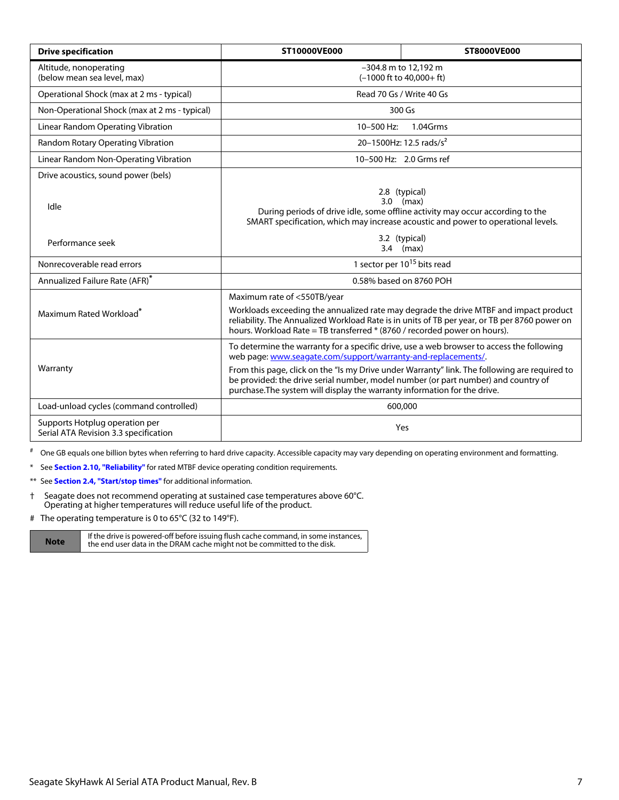| <b>Drive specification</b>                                              | ST10000VE000                                                                                                                                                                                                                                                                                                                                                                                                                   | ST8000VE000                         |  |
|-------------------------------------------------------------------------|--------------------------------------------------------------------------------------------------------------------------------------------------------------------------------------------------------------------------------------------------------------------------------------------------------------------------------------------------------------------------------------------------------------------------------|-------------------------------------|--|
| Altitude, nonoperating<br>(below mean sea level, max)                   | -304.8 m to 12,192 m<br>$(-1000 \text{ ft to } 40,000 + \text{ ft})$                                                                                                                                                                                                                                                                                                                                                           |                                     |  |
| Operational Shock (max at 2 ms - typical)                               |                                                                                                                                                                                                                                                                                                                                                                                                                                | Read 70 Gs / Write 40 Gs            |  |
| Non-Operational Shock (max at 2 ms - typical)                           |                                                                                                                                                                                                                                                                                                                                                                                                                                | 300 Gs                              |  |
| Linear Random Operating Vibration                                       | 10-500 Hz:                                                                                                                                                                                                                                                                                                                                                                                                                     | 1.04Grms                            |  |
| Random Rotary Operating Vibration                                       |                                                                                                                                                                                                                                                                                                                                                                                                                                | 20-1500Hz: 12.5 rads/s <sup>2</sup> |  |
| Linear Random Non-Operating Vibration                                   |                                                                                                                                                                                                                                                                                                                                                                                                                                | 10-500 Hz: 2.0 Grms ref             |  |
| Drive acoustics, sound power (bels)                                     |                                                                                                                                                                                                                                                                                                                                                                                                                                |                                     |  |
| Idle                                                                    | 2.8 (typical)<br>$3.0$ (max)<br>During periods of drive idle, some offline activity may occur according to the<br>SMART specification, which may increase acoustic and power to operational levels.                                                                                                                                                                                                                            |                                     |  |
| Performance seek                                                        | 3.2 (typical)<br>$3.4$ (max)                                                                                                                                                                                                                                                                                                                                                                                                   |                                     |  |
| Nonrecoverable read errors                                              | 1 sector per 10 <sup>15</sup> bits read                                                                                                                                                                                                                                                                                                                                                                                        |                                     |  |
| Annualized Failure Rate (AFR)*                                          | 0.58% based on 8760 POH                                                                                                                                                                                                                                                                                                                                                                                                        |                                     |  |
| Maximum Rated Workload <sup>*</sup>                                     | Maximum rate of <550TB/year<br>Workloads exceeding the annualized rate may degrade the drive MTBF and impact product<br>reliability. The Annualized Workload Rate is in units of TB per year, or TB per 8760 power on<br>hours. Workload Rate = TB transferred * (8760 / recorded power on hours).                                                                                                                             |                                     |  |
| Warranty                                                                | To determine the warranty for a specific drive, use a web browser to access the following<br>web page: www.seagate.com/support/warranty-and-replacements/.<br>From this page, click on the "Is my Drive under Warranty" link. The following are required to<br>be provided: the drive serial number, model number (or part number) and country of<br>purchase. The system will display the warranty information for the drive. |                                     |  |
| Load-unload cycles (command controlled)                                 | 600,000                                                                                                                                                                                                                                                                                                                                                                                                                        |                                     |  |
| Supports Hotplug operation per<br>Serial ATA Revision 3.3 specification | Yes                                                                                                                                                                                                                                                                                                                                                                                                                            |                                     |  |

# One GB equals one billion bytes when referring to hard drive capacity. Accessible capacity may vary depending on operating environment and formatting.

<span id="page-7-0"></span>\* See **[Section 2.10, "Reliability"](#page-16-0)** for rated MTBF device operating condition requirements.

<span id="page-7-2"></span>\*\* See **[Section 2.4, "Start/stop times"](#page-8-3)** for additional information.

- <span id="page-7-1"></span>† Seagate does not recommend operating at sustained case temperatures above 60°C. Operating at higher temperatures will reduce useful life of the product.
- # The operating temperature is 0 to 65°C (32 to 149°F).

**Note** If the drive is powered-off before issuing flush cache command, in some instances,<br>**Note** the end user data in the DRAM cache might not be committed to the disk.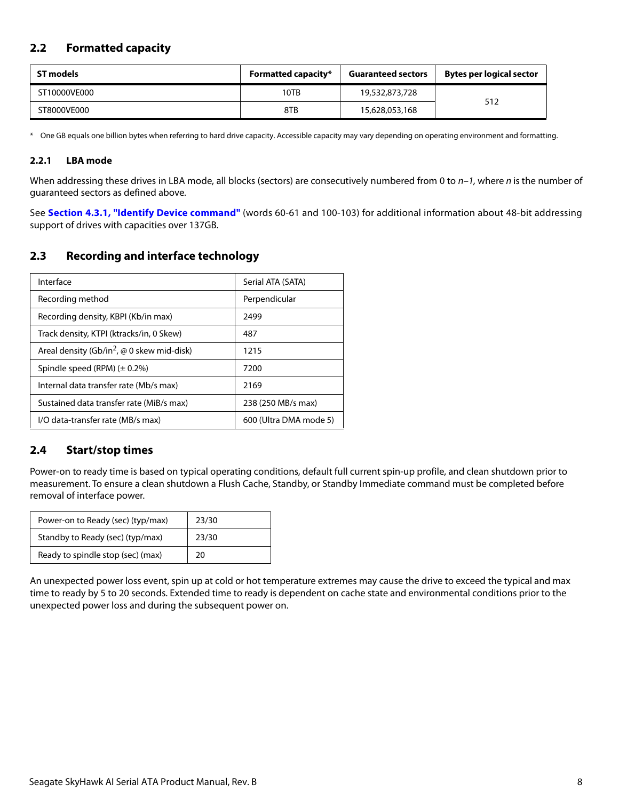# <span id="page-8-0"></span>**2.2 Formatted capacity**

| ST models    | <b>Formatted capacity*</b> | <b>Guaranteed sectors</b> | Bytes per logical sector |
|--------------|----------------------------|---------------------------|--------------------------|
| ST10000VE000 | 10TB                       | 19,532,873,728            | 512                      |
| ST8000VE000  | 8TB                        | 15,628,053,168            |                          |

\* One GB equals one billion bytes when referring to hard drive capacity. Accessible capacity may vary depending on operating environment and formatting.

### <span id="page-8-1"></span>**2.2.1 LBA mode**

When addressing these drives in LBA mode, all blocks (sectors) are consecutively numbered from 0 to  $n-1$ , where n is the number of guaranteed sectors as defined above.

See **[Section 4.3.1, "Identify Device command"](#page-24-0)** (words 60-61 and 100-103) for additional information about 48-bit addressing support of drives with capacities over 137GB.

# <span id="page-8-2"></span>**2.3 Recording and interface technology**

| Interface                                                     | Serial ATA (SATA)      |
|---------------------------------------------------------------|------------------------|
| Recording method                                              | Perpendicular          |
| Recording density, KBPI (Kb/in max)                           | 2499                   |
| Track density, KTPI (ktracks/in, 0 Skew)                      | 487                    |
| Areal density (Gb/in <sup>2</sup> , $\omega$ 0 skew mid-disk) | 1215                   |
| Spindle speed (RPM) $(\pm 0.2\%)$                             | 7200                   |
| Internal data transfer rate (Mb/s max)                        | 2169                   |
| Sustained data transfer rate (MiB/s max)                      | 238 (250 MB/s max)     |
| I/O data-transfer rate (MB/s max)                             | 600 (Ultra DMA mode 5) |

## <span id="page-8-3"></span>**2.4 Start/stop times**

Power-on to ready time is based on typical operating conditions, default full current spin-up profile, and clean shutdown prior to measurement. To ensure a clean shutdown a Flush Cache, Standby, or Standby Immediate command must be completed before removal of interface power.

| Power-on to Ready (sec) (typ/max) | 23/30 |
|-----------------------------------|-------|
| Standby to Ready (sec) (typ/max)  | 23/30 |
| Ready to spindle stop (sec) (max) | 20    |

An unexpected power loss event, spin up at cold or hot temperature extremes may cause the drive to exceed the typical and max time to ready by 5 to 20 seconds. Extended time to ready is dependent on cache state and environmental conditions prior to the unexpected power loss and during the subsequent power on.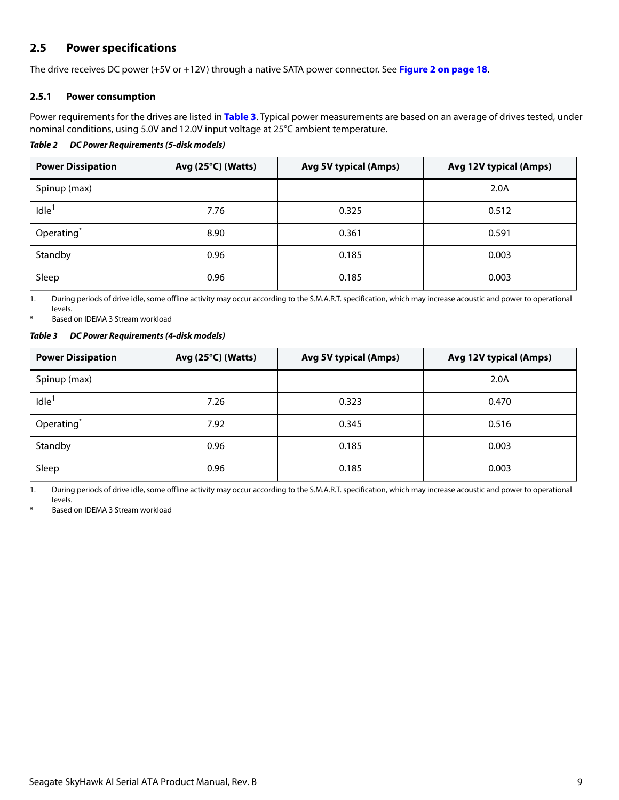# <span id="page-9-0"></span>**2.5 Power specifications**

The drive receives DC power (+5V or +12V) through a native SATA power connector. See **Figure [2](#page-18-4) on [page 18](#page-18-4)**.

### <span id="page-9-1"></span>**2.5.1 Power consumption**

Power requirements for the drives are listed in **Table 3**. Typical power measurements are based on an average of drives tested, under nominal conditions, using 5.0V and 12.0V input voltage at 25°C ambient temperature.

### *Table 2 DC Power Requirements (5-disk models)*

| <b>Power Dissipation</b> | Avg $(25^{\circ}C)$ (Watts) | <b>Avg 5V typical (Amps)</b> | Avg 12V typical (Amps) |
|--------------------------|-----------------------------|------------------------------|------------------------|
| Spinup (max)             |                             |                              | 2.0A                   |
| Idle <sup>1</sup>        | 7.76                        | 0.325                        | 0.512                  |
| Operating*               | 8.90                        | 0.361                        | 0.591                  |
| Standby                  | 0.96                        | 0.185                        | 0.003                  |
| Sleep                    | 0.96                        | 0.185                        | 0.003                  |

1. During periods of drive idle, some offline activity may occur according to the S.M.A.R.T. specification, which may increase acoustic and power to operational levels.

Based on IDEMA 3 Stream workload

#### *Table 3 DC Power Requirements (4-disk models)*

| <b>Power Dissipation</b> | Avg $(25^{\circ}C)$ (Watts) | <b>Avg 5V typical (Amps)</b> | Avg 12V typical (Amps) |  |
|--------------------------|-----------------------------|------------------------------|------------------------|--|
| Spinup (max)             |                             |                              | 2.0A                   |  |
| Idle <sup>1</sup>        | 7.26                        | 0.323                        | 0.470                  |  |
| Operating*               | 7.92                        | 0.345                        | 0.516                  |  |
| Standby                  | 0.96                        | 0.185                        | 0.003                  |  |
| Sleep                    | 0.96                        | 0.185                        | 0.003                  |  |

1. During periods of drive idle, some offline activity may occur according to the S.M.A.R.T. specification, which may increase acoustic and power to operational levels.

Based on IDEMA 3 Stream workload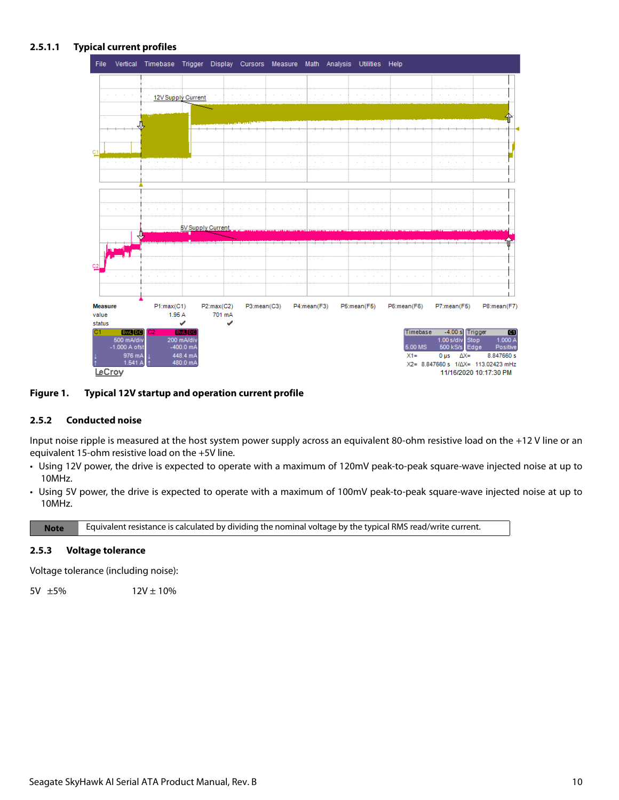### **2.5.1.1 Typical current profiles**



### **Figure 1. Typical 12V startup and operation current profile**

### <span id="page-10-0"></span>**2.5.2 Conducted noise**

Input noise ripple is measured at the host system power supply across an equivalent 80-ohm resistive load on the +12 V line or an equivalent 15-ohm resistive load on the +5V line.

- Using 12V power, the drive is expected to operate with a maximum of 120mV peak-to-peak square-wave injected noise at up to 10MHz.
- Using 5V power, the drive is expected to operate with a maximum of 100mV peak-to-peak square-wave injected noise at up to 10MHz.

**Note** Equivalent resistance is calculated by dividing the nominal voltage by the typical RMS read/write current.

### <span id="page-10-1"></span>**2.5.3 Voltage tolerance**

Voltage tolerance (including noise):

 $5V \pm 5\%$  12V  $\pm 10\%$ 

Seagate SkyHawk AI Serial ATA Product Manual, Rev. B 10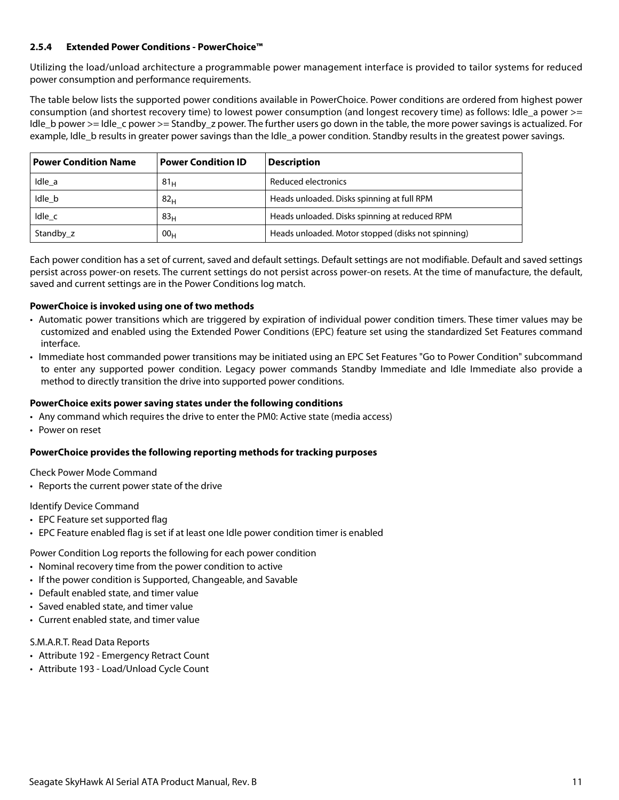### <span id="page-11-0"></span>**2.5.4 Extended Power Conditions - PowerChoice™**

Utilizing the load/unload architecture a programmable power management interface is provided to tailor systems for reduced power consumption and performance requirements.

The table below lists the supported power conditions available in PowerChoice. Power conditions are ordered from highest power consumption (and shortest recovery time) to lowest power consumption (and longest recovery time) as follows: Idle a power >= Idle b power >= Idle c power >= Standby z power. The further users go down in the table, the more power savings is actualized. For example, Idle b results in greater power savings than the Idle a power condition. Standby results in the greatest power savings.

| <b>Power Condition Name</b> | <b>Power Condition ID</b> | <b>Description</b>                                 |
|-----------------------------|---------------------------|----------------------------------------------------|
| Idle a                      | 81 <sub>H</sub>           | Reduced electronics                                |
| Idle b                      | 82 <sub>H</sub>           | Heads unloaded. Disks spinning at full RPM         |
| Idle c                      | 83 <sub>H</sub>           | Heads unloaded. Disks spinning at reduced RPM      |
| Standby z                   | 00 <sub>H</sub>           | Heads unloaded. Motor stopped (disks not spinning) |

Each power condition has a set of current, saved and default settings. Default settings are not modifiable. Default and saved settings persist across power-on resets. The current settings do not persist across power-on resets. At the time of manufacture, the default, saved and current settings are in the Power Conditions log match.

### **PowerChoice is invoked using one of two methods**

- Automatic power transitions which are triggered by expiration of individual power condition timers. These timer values may be customized and enabled using the Extended Power Conditions (EPC) feature set using the standardized Set Features command interface.
- Immediate host commanded power transitions may be initiated using an EPC Set Features "Go to Power Condition" subcommand to enter any supported power condition. Legacy power commands Standby Immediate and Idle Immediate also provide a method to directly transition the drive into supported power conditions.

### **PowerChoice exits power saving states under the following conditions**

- Any command which requires the drive to enter the PM0: Active state (media access)
- Power on reset

### **PowerChoice provides the following reporting methods for tracking purposes**

Check Power Mode Command

• Reports the current power state of the drive

Identify Device Command

- EPC Feature set supported flag
- EPC Feature enabled flag is set if at least one Idle power condition timer is enabled

Power Condition Log reports the following for each power condition

- Nominal recovery time from the power condition to active
- If the power condition is Supported, Changeable, and Savable
- Default enabled state, and timer value
- Saved enabled state, and timer value
- Current enabled state, and timer value

## S.M.A.R.T. Read Data Reports

- Attribute 192 Emergency Retract Count
- Attribute 193 Load/Unload Cycle Count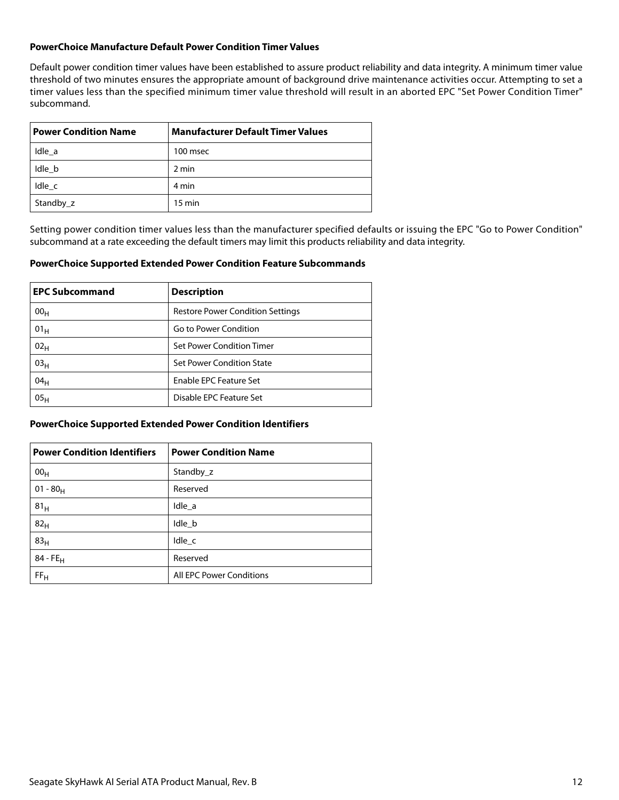### **PowerChoice Manufacture Default Power Condition Timer Values**

Default power condition timer values have been established to assure product reliability and data integrity. A minimum timer value threshold of two minutes ensures the appropriate amount of background drive maintenance activities occur. Attempting to set a timer values less than the specified minimum timer value threshold will result in an aborted EPC "Set Power Condition Timer" subcommand.

| <b>Power Condition Name</b> | <b>Manufacturer Default Timer Values</b> |  |  |
|-----------------------------|------------------------------------------|--|--|
| Idle a                      | 100 msec                                 |  |  |
| Idle b                      | 2 min                                    |  |  |
| Idle c                      | 4 min                                    |  |  |
| Standby_z                   | $15 \text{ min}$                         |  |  |

Setting power condition timer values less than the manufacturer specified defaults or issuing the EPC "Go to Power Condition" subcommand at a rate exceeding the default timers may limit this products reliability and data integrity.

### **PowerChoice Supported Extended Power Condition Feature Subcommands**

| <b>EPC Subcommand</b> | <b>Description</b>                      |  |
|-----------------------|-----------------------------------------|--|
| 00 <sub>H</sub>       | <b>Restore Power Condition Settings</b> |  |
| 01 <sub>H</sub>       | Go to Power Condition                   |  |
| 02 <sub>H</sub>       | Set Power Condition Timer               |  |
| 03 <sub>H</sub>       | Set Power Condition State               |  |
| 04 <sub>H</sub>       | Enable EPC Feature Set                  |  |
| 05 <sub>H</sub>       | Disable EPC Feature Set                 |  |

### **PowerChoice Supported Extended Power Condition Identifiers**

| <b>Power Condition Identifiers</b> | <b>Power Condition Name</b> |
|------------------------------------|-----------------------------|
| 00 <sub>H</sub>                    | Standby z                   |
| $01 - 80_H$                        | Reserved                    |
| 81 <sub>H</sub>                    | Idle_a                      |
| 82 <sub>H</sub>                    | Idle_b                      |
| 83 <sub>H</sub>                    | $Idle_{c}$                  |
| $84 - FE_H$                        | Reserved                    |
| FF <sub>H</sub>                    | All EPC Power Conditions    |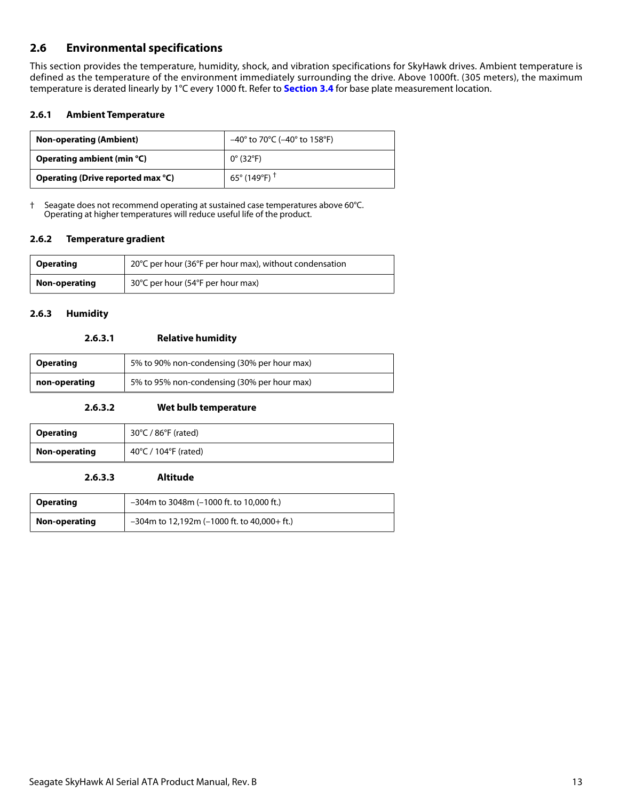# <span id="page-13-0"></span>**2.6 Environmental specifications**

This section provides the temperature, humidity, shock, and vibration specifications for SkyHawk drives. Ambient temperature is defined as the temperature of the environment immediately surrounding the drive. Above 1000ft. (305 meters), the maximum temperature is derated linearly by 1°C every 1000 ft. Refer to **[Section 3.4](#page-19-0)** for base plate measurement location.

### <span id="page-13-1"></span>**2.6.1 Ambient Temperature**

| <b>Non-operating (Ambient)</b>    | $-40^{\circ}$ to 70°C ( $-40^{\circ}$ to 158°F) |  |
|-----------------------------------|-------------------------------------------------|--|
| Operating ambient (min $°C$ )     | $0^{\circ}$ (32°F)                              |  |
| Operating (Drive reported max °C) | $65^{\circ}$ (149°F) $^{\dagger}$               |  |

† Seagate does not recommend operating at sustained case temperatures above 60°C. Operating at higher temperatures will reduce useful life of the product.

### <span id="page-13-2"></span>**2.6.2 Temperature gradient**

| <b>Operating</b> | 20°C per hour (36°F per hour max), without condensation |
|------------------|---------------------------------------------------------|
| Non-operating    | 30°C per hour (54°F per hour max)                       |

### <span id="page-13-3"></span>**2.6.3 Humidity**

### **2.6.3.1 Relative humidity**

| <b>Operating</b> | 5% to 90% non-condensing (30% per hour max) |  |  |
|------------------|---------------------------------------------|--|--|
| non-operating    | 5% to 95% non-condensing (30% per hour max) |  |  |

### **2.6.3.2 Wet bulb temperature**

| <b>Operating</b> | $30^{\circ}$ C / 86 $^{\circ}$ F (rated) |
|------------------|------------------------------------------|
| Non-operating    | 40°C / 104°F (rated)                     |

### **2.6.3.3 Altitude**

| <b>Operating</b> | $-304$ m to 3048m ( $-1000$ ft. to 10,000 ft.) |  |
|------------------|------------------------------------------------|--|
| Non-operating    | $-304$ m to 12,192m (-1000 ft. to 40,000+ ft.) |  |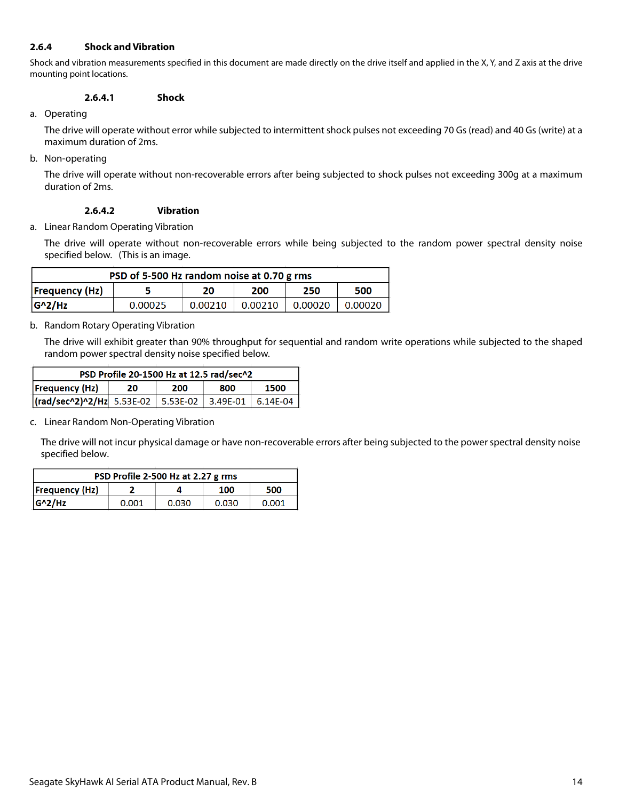### <span id="page-14-0"></span>**2.6.4 Shock and Vibration**

Shock and vibration measurements specified in this document are made directly on the drive itself and applied in the X, Y, and Z axis at the drive mounting point locations.

### **2.6.4.1 Shock**

a. Operating

The drive will operate without error while subjected to intermittent shock pulses not exceeding 70 Gs (read) and 40 Gs (write) at a maximum duration of 2ms.

b. Non-operating

The drive will operate without non-recoverable errors after being subjected to shock pulses not exceeding 300g at a maximum duration of 2ms.

### **2.6.4.2 Vibration**

a. Linear Random Operating Vibration

The drive will operate without non-recoverable errors while being subjected to the random power spectral density noise specified below. (This is an image.

| PSD of 5-500 Hz random noise at 0.70 g rms       |         |         |         |         |         |  |  |
|--------------------------------------------------|---------|---------|---------|---------|---------|--|--|
| <b>Frequency (Hz)</b><br>250<br>500<br>20<br>200 |         |         |         |         |         |  |  |
| $G^2/Hz$                                         | 0.00025 | 0.00210 | 0.00210 | 0.00020 | 0.00020 |  |  |

b. Random Rotary Operating Vibration

The drive will exhibit greater than 90% throughput for sequential and random write operations while subjected to the shaped random power spectral density noise specified below.

| PSD Profile 20-1500 Hz at 12.5 rad/sec^2                     |  |  |  |  |  |  |
|--------------------------------------------------------------|--|--|--|--|--|--|
| Frequency(Hz) <br>1500<br>800<br>200<br>20                   |  |  |  |  |  |  |
| $\vert$ (rad/sec^2)^2/Hz 5.53E-02 5.53E-02 3.49E-01 6.14E-04 |  |  |  |  |  |  |

c. Linear Random Non-Operating Vibration

The drive will not incur physical damage or have non-recoverable errors after being subjected to the power spectral density noise specified below.

| PSD Profile 2-500 Hz at 2.27 g rms  |       |       |       |       |  |
|-------------------------------------|-------|-------|-------|-------|--|
| <b>Frequency (Hz)</b><br>500<br>100 |       |       |       |       |  |
| $ G^2/Hz $                          | 0.001 | 0.030 | 0.030 | 0.001 |  |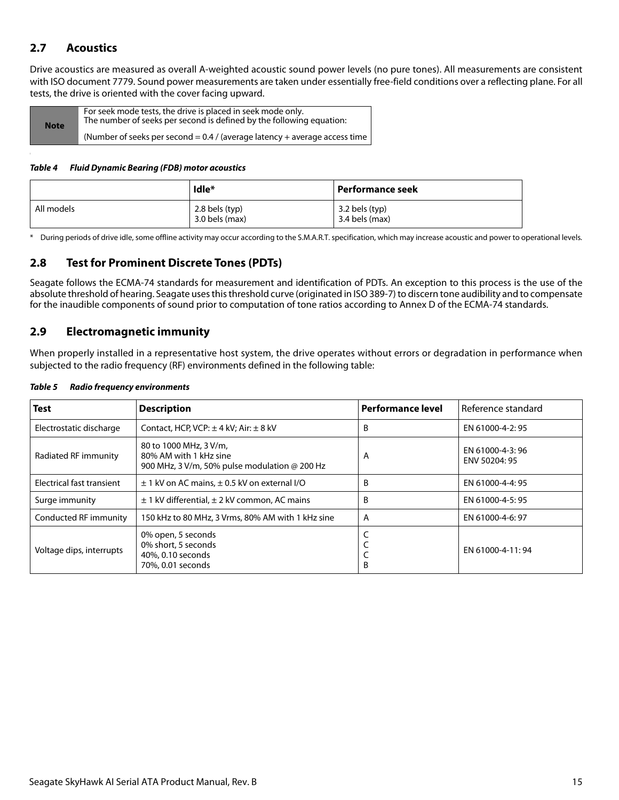# <span id="page-15-0"></span>**2.7 Acoustics**

Drive acoustics are measured as overall A-weighted acoustic sound power levels (no pure tones). All measurements are consistent with ISO document 7779. Sound power measurements are taken under essentially free-field conditions over a reflecting plane. For all tests, the drive is oriented with the cover facing upward.

| <b>Note</b> | For seek mode tests, the drive is placed in seek mode only.<br>The number of seeks per second is defined by the following equation: |
|-------------|-------------------------------------------------------------------------------------------------------------------------------------|
|             | (Number of seeks per second = $0.4$ / (average latency + average access time                                                        |

### *Table 4 Fluid Dynamic Bearing (FDB) motor acoustics*

|            | Idle*                                | Performance seek                 |
|------------|--------------------------------------|----------------------------------|
| All models | $2.8$ bels (typ)<br>$3.0$ bels (max) | 3.2 bels (typ)<br>3.4 bels (max) |

\* During periods of drive idle, some offline activity may occur according to the S.M.A.R.T. specification, which may increase acoustic and power to operational levels.

# <span id="page-15-1"></span>**2.8 Test for Prominent Discrete Tones (PDTs)**

Seagate follows the ECMA-74 standards for measurement and identification of PDTs. An exception to this process is the use of the absolute threshold of hearing. Seagate uses this threshold curve (originated in ISO 389-7) to discern tone audibility and to compensate for the inaudible components of sound prior to computation of tone ratios according to Annex D of the ECMA-74 standards.

## <span id="page-15-2"></span>**2.9 Electromagnetic immunity**

When properly installed in a representative host system, the drive operates without errors or degradation in performance when subjected to the radio frequency (RF) environments defined in the following table:

| <b>Test</b>               | <b>Description</b>                                                                                       | <b>Performance level</b> | Reference standard               |
|---------------------------|----------------------------------------------------------------------------------------------------------|--------------------------|----------------------------------|
| Electrostatic discharge   | Contact, HCP, VCP: $\pm$ 4 kV; Air: $\pm$ 8 kV                                                           | B                        | EN 61000-4-2: 95                 |
| Radiated RF immunity      | 80 to 1000 MHz, 3 V/m,<br>80% AM with 1 kHz sine<br>900 MHz, 3 V/m, 50% pulse modulation $\omega$ 200 Hz | A                        | EN 61000-4-3:96<br>ENV 50204: 95 |
| Electrical fast transient | $\pm$ 1 kV on AC mains, $\pm$ 0.5 kV on external I/O                                                     | B                        | EN 61000-4-4: 95                 |
| Surge immunity            | $\pm$ 1 kV differential, $\pm$ 2 kV common, AC mains                                                     | B                        | EN 61000-4-5: 95                 |
| Conducted RF immunity     | 150 kHz to 80 MHz, 3 Vrms, 80% AM with 1 kHz sine                                                        | A                        | EN 61000-4-6: 97                 |
| Voltage dips, interrupts  | 0% open, 5 seconds<br>0% short, 5 seconds<br>40%, 0.10 seconds<br>70%, 0.01 seconds                      | B                        | EN 61000-4-11:94                 |

### *Table 5 Radio frequency environments*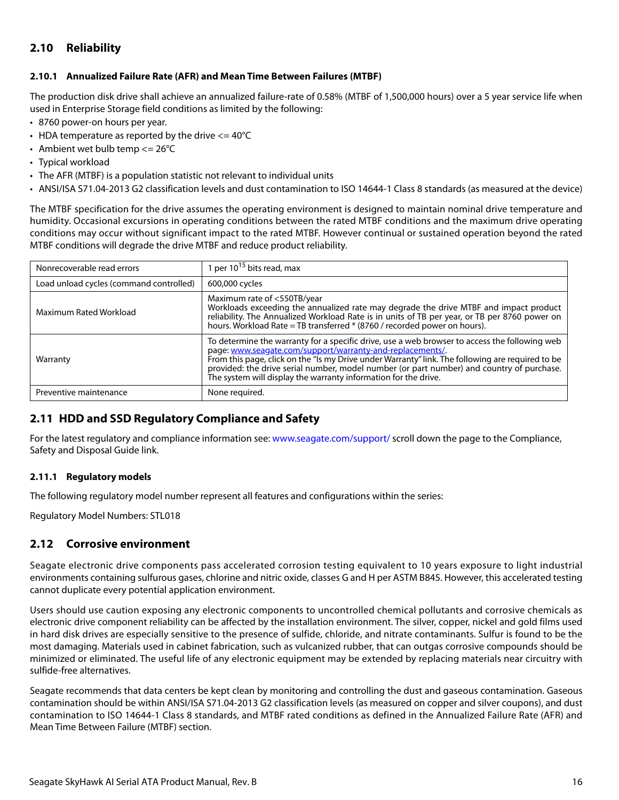# <span id="page-16-0"></span>**2.10 Reliability**

### <span id="page-16-1"></span>**2.10.1 Annualized Failure Rate (AFR) and Mean Time Between Failures (MTBF)**

The production disk drive shall achieve an annualized failure-rate of 0.58% (MTBF of 1,500,000 hours) over a 5 year service life when used in Enterprise Storage field conditions as limited by the following:

- 8760 power-on hours per year.
- HDA temperature as reported by the drive  $\leq$  = 40°C
- Ambient wet bulb temp  $\leq$  26°C
- Typical workload
- The AFR (MTBF) is a population statistic not relevant to individual units
- ANSI/ISA S71.04-2013 G2 classification levels and dust contamination to ISO 14644-1 Class 8 standards (as measured at the device)

The MTBF specification for the drive assumes the operating environment is designed to maintain nominal drive temperature and humidity. Occasional excursions in operating conditions between the rated MTBF conditions and the maximum drive operating conditions may occur without significant impact to the rated MTBF. However continual or sustained operation beyond the rated MTBF conditions will degrade the drive MTBF and reduce product reliability.

| Nonrecoverable read errors              | I per 10 <sup>15</sup> bits read, max                                                                                                                                                                                                                                                                                                                                                                                          |
|-----------------------------------------|--------------------------------------------------------------------------------------------------------------------------------------------------------------------------------------------------------------------------------------------------------------------------------------------------------------------------------------------------------------------------------------------------------------------------------|
| Load unload cycles (command controlled) | 600,000 cycles                                                                                                                                                                                                                                                                                                                                                                                                                 |
| Maximum Rated Workload                  | Maximum rate of <550TB/year<br>Workloads exceeding the annualized rate may degrade the drive MTBF and impact product<br>reliability. The Annualized Workload Rate is in units of TB per year, or TB per 8760 power on<br>hours. Workload Rate = TB transferred * (8760 / recorded power on hours).                                                                                                                             |
| Warranty                                | To determine the warranty for a specific drive, use a web browser to access the following web<br>page: www.seagate.com/support/warranty-and-replacements/.<br>From this page, click on the "Is my Drive under Warranty" link. The following are required to be<br>provided: the drive serial number, model number (or part number) and country of purchase.<br>The system will display the warranty information for the drive. |
| Preventive maintenance                  | None required.                                                                                                                                                                                                                                                                                                                                                                                                                 |

## <span id="page-16-2"></span>**2.11 HDD and SSD Regulatory Compliance and Safety**

For the latest regulatory and compliance information see: [www.seagate.com/support/](https://www.seagate.com/support/ ) scroll down the page to the Compliance, Safety and Disposal Guide link.

### <span id="page-16-3"></span>**2.11.1 Regulatory models**

The following regulatory model number represent all features and configurations within the series:

Regulatory Model Numbers: STL018

## <span id="page-16-4"></span>**2.12 Corrosive environment**

Seagate electronic drive components pass accelerated corrosion testing equivalent to 10 years exposure to light industrial environments containing sulfurous gases, chlorine and nitric oxide, classes G and H per ASTM B845. However, this accelerated testing cannot duplicate every potential application environment.

Users should use caution exposing any electronic components to uncontrolled chemical pollutants and corrosive chemicals as electronic drive component reliability can be affected by the installation environment. The silver, copper, nickel and gold films used in hard disk drives are especially sensitive to the presence of sulfide, chloride, and nitrate contaminants. Sulfur is found to be the most damaging. Materials used in cabinet fabrication, such as vulcanized rubber, that can outgas corrosive compounds should be minimized or eliminated. The useful life of any electronic equipment may be extended by replacing materials near circuitry with sulfide-free alternatives.

Seagate recommends that data centers be kept clean by monitoring and controlling the dust and gaseous contamination. Gaseous contamination should be within ANSI/ISA S71.04-2013 G2 classification levels (as measured on copper and silver coupons), and dust contamination to ISO 14644-1 Class 8 standards, and MTBF rated conditions as defined in the Annualized Failure Rate (AFR) and Mean Time Between Failure (MTBF) section.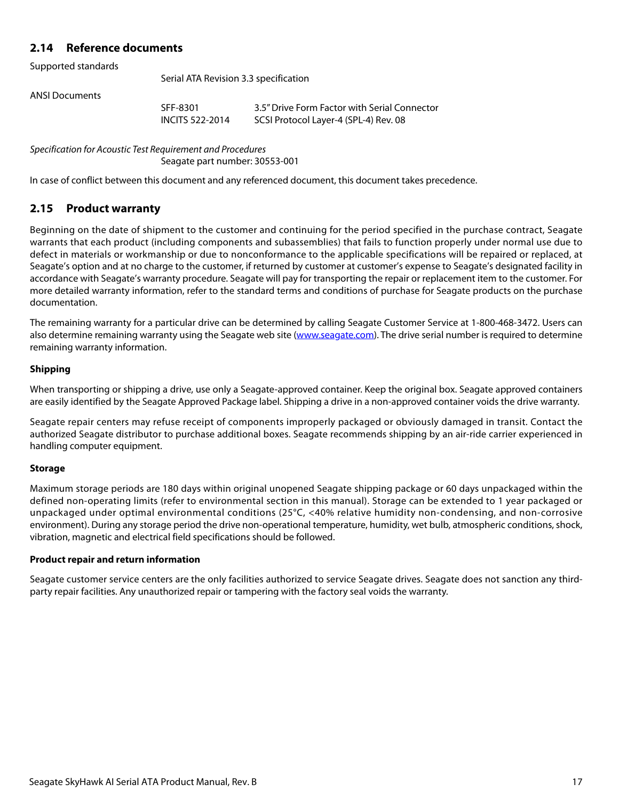# <span id="page-17-0"></span>**2.14 Reference documents**

Supported standards

Serial ATA Revision 3.3 specification

ANSI Documents

SFF-8301 3.5" Drive Form Factor with Serial Connector INCITS 522-2014 SCSI Protocol Layer-4 (SPL-4) Rev. 08

Specification for Acoustic Test Requirement and Procedures Seagate part number: 30553-001

In case of conflict between this document and any referenced document, this document takes precedence.

# <span id="page-17-1"></span>**2.15 Product warranty**

Beginning on the date of shipment to the customer and continuing for the period specified in the purchase contract, Seagate warrants that each product (including components and subassemblies) that fails to function properly under normal use due to defect in materials or workmanship or due to nonconformance to the applicable specifications will be repaired or replaced, at Seagate's option and at no charge to the customer, if returned by customer at customer's expense to Seagate's designated facility in accordance with Seagate's warranty procedure. Seagate will pay for transporting the repair or replacement item to the customer. For more detailed warranty information, refer to the standard terms and conditions of purchase for Seagate products on the purchase documentation.

[The remaining warranty for a particular drive can be determined by calling Seagate Customer Service at 1-800-468-3472. Users can](http://www.seagate.com) [also determine remaining warranty using the Seagate web site \(](http://www.seagate.com)www.seagate.com). The drive serial number is required to determine remaining warranty information.

### **Shipping**

When transporting or shipping a drive, use only a Seagate-approved container. Keep the original box. Seagate approved containers are easily identified by the Seagate Approved Package label. Shipping a drive in a non-approved container voids the drive warranty.

Seagate repair centers may refuse receipt of components improperly packaged or obviously damaged in transit. Contact the authorized Seagate distributor to purchase additional boxes. Seagate recommends shipping by an air-ride carrier experienced in handling computer equipment.

### **Storage**

Maximum storage periods are 180 days within original unopened Seagate shipping package or 60 days unpackaged within the defined non-operating limits (refer to environmental section in this manual). Storage can be extended to 1 year packaged or unpackaged under optimal environmental conditions (25°C, <40% relative humidity non-condensing, and non-corrosive environment). During any storage period the drive non-operational temperature, humidity, wet bulb, atmospheric conditions, shock, vibration, magnetic and electrical field specifications should be followed.

### **Product repair and return information**

Seagate customer service centers are the only facilities authorized to service Seagate drives. Seagate does not sanction any thirdparty repair facilities. Any unauthorized repair or tampering with the factory seal voids the warranty.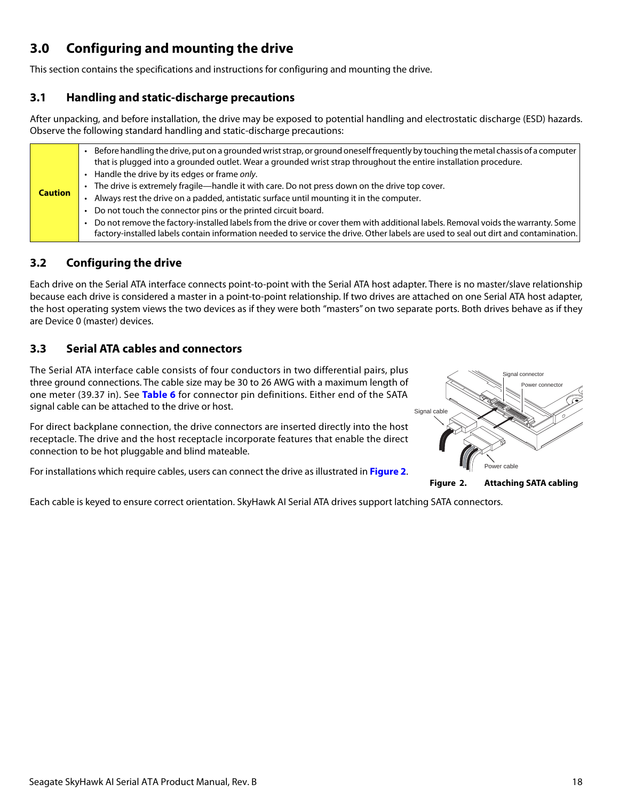# <span id="page-18-0"></span>**3.0 Configuring and mounting the drive**

This section contains the specifications and instructions for configuring and mounting the drive.

# <span id="page-18-1"></span>**3.1 Handling and static-discharge precautions**

After unpacking, and before installation, the drive may be exposed to potential handling and electrostatic discharge (ESD) hazards. Observe the following standard handling and static-discharge precautions:

| <b>Caution</b> |
|----------------|

# <span id="page-18-2"></span>**3.2 Configuring the drive**

Each drive on the Serial ATA interface connects point-to-point with the Serial ATA host adapter. There is no master/slave relationship because each drive is considered a master in a point-to-point relationship. If two drives are attached on one Serial ATA host adapter, the host operating system views the two devices as if they were both "masters" on two separate ports. Both drives behave as if they are Device 0 (master) devices.

# <span id="page-18-3"></span>**3.3 Serial ATA cables and connectors**

The Serial ATA interface cable consists of four conductors in two differential pairs, plus three ground connections. The cable size may be 30 to 26 AWG with a maximum length of one meter (39.37 in). See **Table 6** for connector pin definitions. Either end of the SATA signal cable can be attached to the drive or host.

For direct backplane connection, the drive connectors are inserted directly into the host receptacle. The drive and the host receptacle incorporate features that enable the direct connection to be hot pluggable and blind mateable.

<span id="page-18-4"></span>For installations which require cables, users can connect the drive as illustrated in **Figure [2](#page-18-4)**.



**Figure 2. Attaching SATA cabling**

Each cable is keyed to ensure correct orientation. SkyHawk AI Serial ATA drives support latching SATA connectors.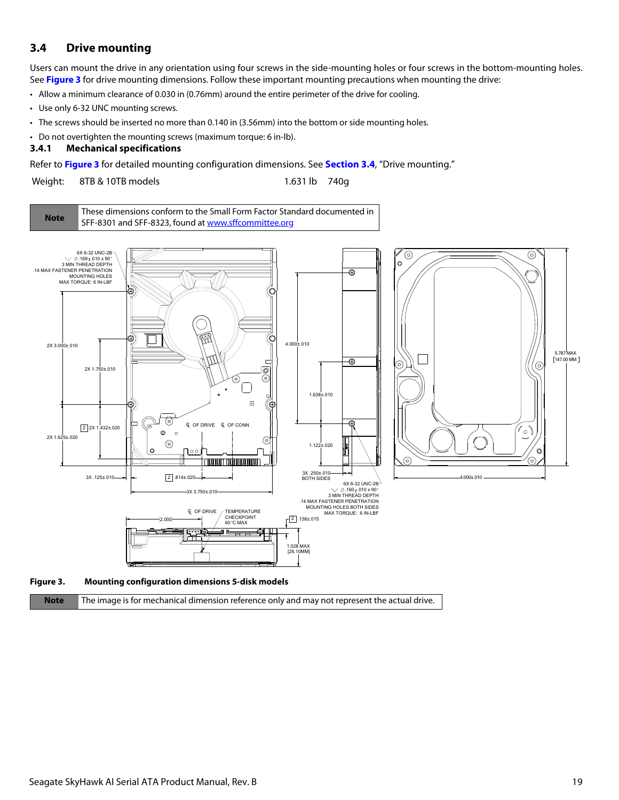# <span id="page-19-0"></span>**3.4 Drive mounting**

Users can mount the drive in any orientation using four screws in the side-mounting holes or four screws in the bottom-mounting holes. See **Figure 3** for drive mounting dimensions. Follow these important mounting precautions when mounting the drive:

• Allow a minimum clearance of 0.030 in (0.76mm) around the entire perimeter of the drive for cooling.

- Use only 6-32 UNC mounting screws.
- The screws should be inserted no more than 0.140 in (3.56mm) into the bottom or side mounting holes.
- Do not overtighten the mounting screws (maximum torque: 6 in-lb).

### <span id="page-19-1"></span>**3.4.1 Mechanical specifications**

Refer to **Figure 3** for detailed mounting configuration dimensions. See **Section [3.4](#page-19-0)**, "Drive mounting."

Weight: 8TB & 10TB models 1.631 lb 740g

**Note** [These dimensions conform to the Small Form Factor Standard documented in](http://found at www.sffcommittee.org/)  [SFF-8301 and SFF-8323, found at w](http://found at www.sffcommittee.org/)ww.sffcommittee.org





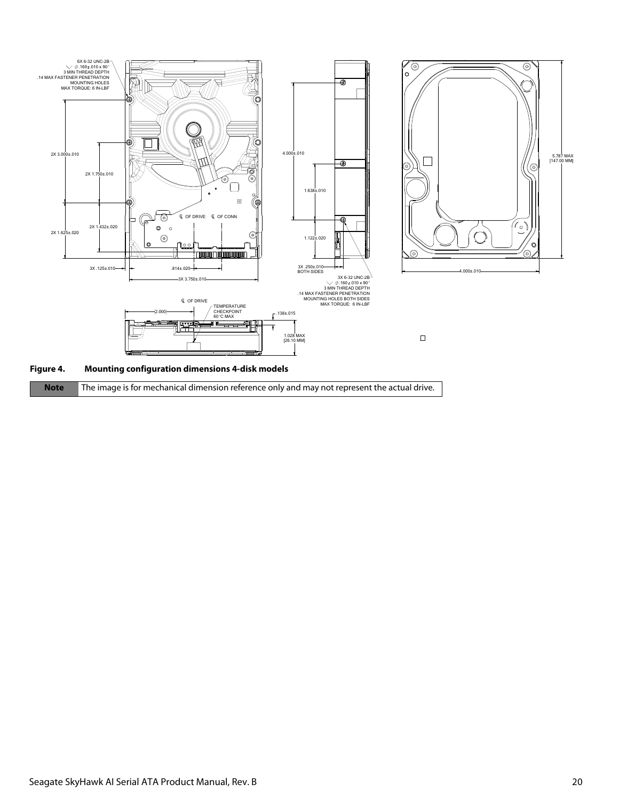

| Note The image is for mechanical dimension reference only and may not represent the actual drive. |  |
|---------------------------------------------------------------------------------------------------|--|
|                                                                                                   |  |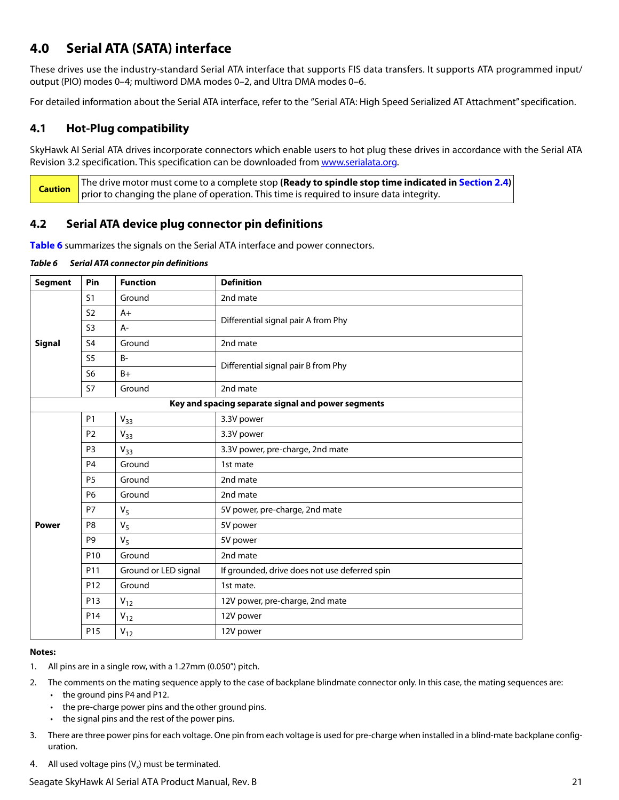# <span id="page-21-0"></span>**4.0 Serial ATA (SATA) interface**

These drives use the industry-standard Serial ATA interface that supports FIS data transfers. It supports ATA programmed input/ output (PIO) modes 0–4; multiword DMA modes 0–2, and Ultra DMA modes 0–6.

For detailed information about the Serial ATA interface, refer to the "Serial ATA: High Speed Serialized AT Attachment" specification.

# <span id="page-21-1"></span>**4.1 Hot-Plug compatibility**

SkyHawk AI Serial ATA drives incorporate connectors which enable users to hot plug these drives in accordance with the Serial ATA Revision 3.2 specification. This specification can be downloaded from [www.serialata.or](http://www.serialata.org)g.

**Caution** The drive motor must come to a complete stop **(Ready to spindle stop time indicated in [Section 2.4](#page-8-3))** prior to changing the plane of operation. This time is required to insure data integrity.

# <span id="page-21-2"></span>**4.2 Serial ATA device plug connector pin definitions**

**Table 6** summarizes the signals on the Serial ATA interface and power connectors.

### *Table 6 Serial ATA connector pin definitions*

| <b>Segment</b> | Pin             | <b>Function</b>      | <b>Definition</b>                                  |  |
|----------------|-----------------|----------------------|----------------------------------------------------|--|
|                | S <sub>1</sub>  | Ground               | 2nd mate                                           |  |
|                | S <sub>2</sub>  | $A+$                 | Differential signal pair A from Phy                |  |
|                | S <sub>3</sub>  | $A -$                |                                                    |  |
| <b>Signal</b>  | S <sub>4</sub>  | Ground               | 2nd mate                                           |  |
|                | S <sub>5</sub>  | $B -$                | Differential signal pair B from Phy                |  |
|                | S <sub>6</sub>  | $B+$                 |                                                    |  |
|                | <b>S7</b>       | Ground               | 2nd mate                                           |  |
|                |                 |                      | Key and spacing separate signal and power segments |  |
|                | <b>P1</b>       | $V_{33}$             | 3.3V power                                         |  |
|                | P <sub>2</sub>  | $V_{33}$             | 3.3V power                                         |  |
|                | P <sub>3</sub>  | $V_{33}$             | 3.3V power, pre-charge, 2nd mate                   |  |
|                | P <sub>4</sub>  | Ground               | 1st mate                                           |  |
|                | <b>P5</b>       | Ground               | 2nd mate                                           |  |
|                | P <sub>6</sub>  | Ground               | 2nd mate                                           |  |
|                | P7              | V <sub>5</sub>       | 5V power, pre-charge, 2nd mate                     |  |
| <b>Power</b>   | P <sub>8</sub>  | $V_5$                | 5V power                                           |  |
|                | P <sub>9</sub>  | V <sub>5</sub>       | 5V power                                           |  |
|                | P <sub>10</sub> | Ground               | 2nd mate                                           |  |
|                | P11             | Ground or LED signal | If grounded, drive does not use deferred spin      |  |
|                | P <sub>12</sub> | Ground               | 1st mate.                                          |  |
|                | P <sub>13</sub> | $V_{12}$             | 12V power, pre-charge, 2nd mate                    |  |
|                | P14             | $V_{12}$             | 12V power                                          |  |
|                | P <sub>15</sub> | $V_{12}$             | 12V power                                          |  |

### **Notes:**

- 1. All pins are in a single row, with a 1.27mm (0.050") pitch.
- 2. The comments on the mating sequence apply to the case of backplane blindmate connector only. In this case, the mating sequences are:
	- the ground pins P4 and P12.
	- the pre-charge power pins and the other ground pins.
	- the signal pins and the rest of the power pins.
- 3. There are three power pins for each voltage. One pin from each voltage is used for pre-charge when installed in a blind-mate backplane configuration.
- 4. All used voltage pins  $(V_x)$  must be terminated.

### Seagate SkyHawk AI Serial ATA Product Manual, Rev. B 21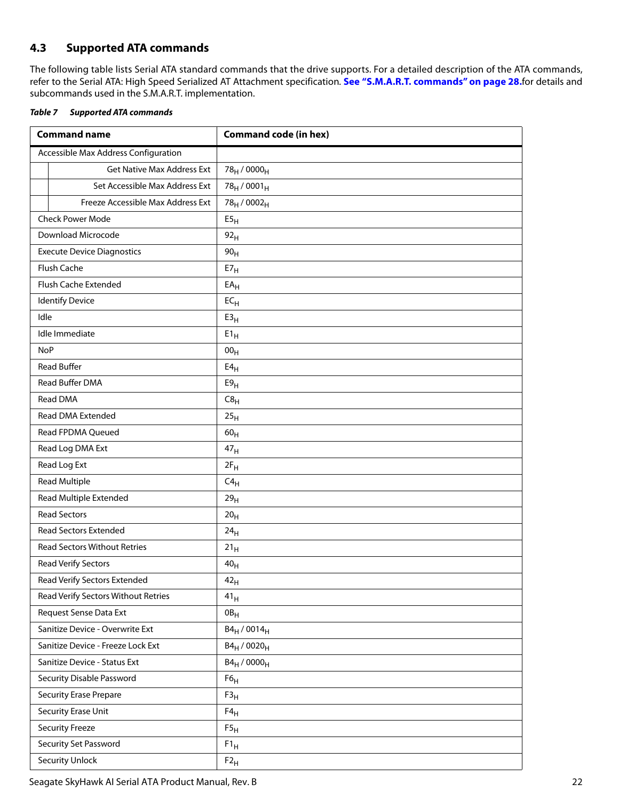# <span id="page-22-0"></span>**4.3 Supported ATA commands**

The following table lists Serial ATA standard commands that the drive supports. For a detailed description of the ATA commands, refer to the Serial ATA: High Speed Serialized AT Attachment specification. **[See "S.M.A.R.T. commands" on page 28.](#page-28-0)**for details and subcommands used in the S.M.A.R.T. implementation.

<span id="page-22-1"></span>

| Table 7 | <b>Supported ATA commands</b> |  |
|---------|-------------------------------|--|
|         |                               |  |

| <b>Command name</b>                  | <b>Command code (in hex)</b>        |
|--------------------------------------|-------------------------------------|
| Accessible Max Address Configuration |                                     |
| <b>Get Native Max Address Ext</b>    | 78 <sub>H</sub> / 0000 <sub>H</sub> |
| Set Accessible Max Address Ext       | $78_H / 0001_H$                     |
| Freeze Accessible Max Address Ext    | 78 <sub>H</sub> / 0002 <sub>H</sub> |
| <b>Check Power Mode</b>              | E5 <sub>H</sub>                     |
| Download Microcode                   | 92 <sub>H</sub>                     |
| <b>Execute Device Diagnostics</b>    | 90 <sub>H</sub>                     |
| Flush Cache                          | E7 <sub>H</sub>                     |
| Flush Cache Extended                 | $EA_H$                              |
| <b>Identify Device</b>               | $EC_{H}$                            |
| Idle                                 | E3 <sub>H</sub>                     |
| Idle Immediate                       | $E1_H$                              |
| <b>NoP</b>                           | 00 <sub>H</sub>                     |
| <b>Read Buffer</b>                   | E4 <sub>H</sub>                     |
| Read Buffer DMA                      | E9 <sub>H</sub>                     |
| Read DMA                             | C8 <sub>H</sub>                     |
| Read DMA Extended                    | 25 <sub>H</sub>                     |
| Read FPDMA Queued                    | 60 <sub>H</sub>                     |
| Read Log DMA Ext                     | 47 <sub>H</sub>                     |
| Read Log Ext                         | $2F_H$                              |
| <b>Read Multiple</b>                 | $C4_H$                              |
| Read Multiple Extended               | 29 <sub>H</sub>                     |
| <b>Read Sectors</b>                  | 20 <sub>H</sub>                     |
| Read Sectors Extended                | 24 <sub>H</sub>                     |
| <b>Read Sectors Without Retries</b>  | 21 <sub>H</sub>                     |
| Read Verify Sectors                  | $40_H$                              |
| Read Verify Sectors Extended         | $42_{\rm H}$                        |
| Read Verify Sectors Without Retries  | $41_H$                              |
| Request Sense Data Ext               | OB <sub>H</sub>                     |
| Sanitize Device - Overwrite Ext      | $B4_H / 0014_H$                     |
| Sanitize Device - Freeze Lock Ext    | $B4_H / 0020_H$                     |
| Sanitize Device - Status Ext         | $B4_H / 0000_H$                     |
| Security Disable Password            | F6 <sub>H</sub>                     |
| <b>Security Erase Prepare</b>        | F3 <sub>H</sub>                     |
| Security Erase Unit                  | $F4_H$                              |
| <b>Security Freeze</b>               | F5 <sub>H</sub>                     |
| Security Set Password                | $F1_H$                              |
| <b>Security Unlock</b>               | $F2_H$                              |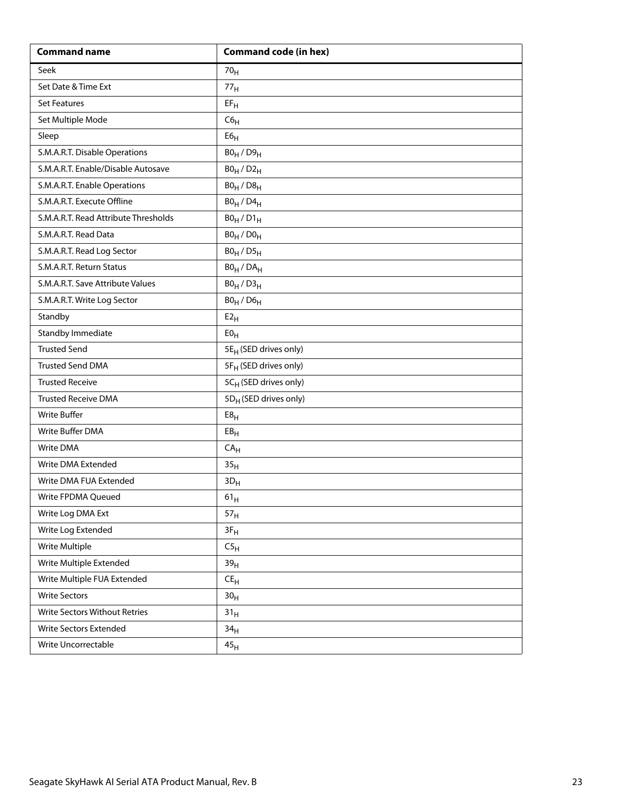| <b>Command name</b>                  | <b>Command code (in hex)</b>      |
|--------------------------------------|-----------------------------------|
| Seek                                 | 70 <sub>H</sub>                   |
| Set Date & Time Ext                  | 77 <sub>H</sub>                   |
| <b>Set Features</b>                  | $EF_H$                            |
| Set Multiple Mode                    | C6 <sub>H</sub>                   |
| Sleep                                | ${\sf E6}_{\sf H}$                |
| S.M.A.R.T. Disable Operations        | $B0_H / D9_H$                     |
| S.M.A.R.T. Enable/Disable Autosave   | $B0_H / D2_H$                     |
| S.M.A.R.T. Enable Operations         | $B0_H / D8_H$                     |
| S.M.A.R.T. Execute Offline           | $B0_H$ / $D4_H$                   |
| S.M.A.R.T. Read Attribute Thresholds | $B0_H / D1_H$                     |
| S.M.A.R.T. Read Data                 | $B0_H / D0_H$                     |
| S.M.A.R.T. Read Log Sector           | $B0_H / D5_H$                     |
| S.M.A.R.T. Return Status             | $BO_H / DA_H$                     |
| S.M.A.R.T. Save Attribute Values     | $B0_H / D3_H$                     |
| S.M.A.R.T. Write Log Sector          | $B0_H$ / $D6_H$                   |
| Standby                              | E2 <sub>H</sub>                   |
| Standby Immediate                    | E0 <sub>H</sub>                   |
| <b>Trusted Send</b>                  | 5E <sub>H</sub> (SED drives only) |
| <b>Trusted Send DMA</b>              | 5F <sub>H</sub> (SED drives only) |
| <b>Trusted Receive</b>               | 5CH (SED drives only)             |
| <b>Trusted Receive DMA</b>           | 5D <sub>H</sub> (SED drives only) |
| <b>Write Buffer</b>                  | E8 <sub>H</sub>                   |
| Write Buffer DMA                     | EB <sub>H</sub>                   |
| Write DMA                            | CA <sub>H</sub>                   |
| Write DMA Extended                   | 35 <sub>H</sub>                   |
| Write DMA FUA Extended               | $3D_H$                            |
| Write FPDMA Queued                   | $61_{\rm H}$                      |
| Write Log DMA Ext                    | 57 <sub>H</sub>                   |
| Write Log Extended                   | $3F_H$                            |
| Write Multiple                       | C5 <sub>H</sub>                   |
| Write Multiple Extended              | 39 <sub>H</sub>                   |
| Write Multiple FUA Extended          | $\mathsf{CE}_\mathsf{H}$          |
| <b>Write Sectors</b>                 | 30 <sub>H</sub>                   |
| Write Sectors Without Retries        | 31 <sub>H</sub>                   |
| Write Sectors Extended               | 34 <sub>H</sub>                   |
| Write Uncorrectable                  | 45 <sub>H</sub>                   |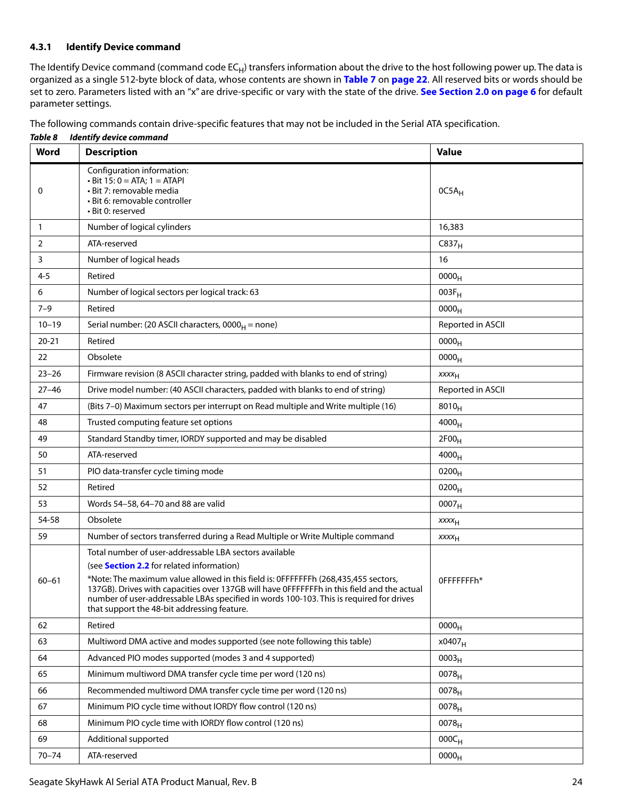### <span id="page-24-0"></span>**4.3.1 Identify Device command**

The Identify Device command (command code  $EC_H$ ) transfers information about the drive to the host following power up. The data is organized as a single 512-byte block of data, whose contents are shown in **[Table 7](#page-22-1)** on **[page 22](#page-22-1)**. All reserved bits or words should be set to zero. Parameters listed with an "x" are drive-specific or vary with the state of the drive. **[See Section 2.0 on page 6](#page-6-0)** for default parameter settings.

The following commands contain drive-specific features that may not be included in the Serial ATA specification.

*Table 8 Identify device command* **Word Description Value**  $\Omega$ Configuration information:  $\cdot$  Bit 15: 0 = ATA; 1 = ATAPI • Bit 7: removable media • Bit 6: removable controller • Bit 0: reserved  $0C5A_H$ 1 Number of logical cylinders 16,383 2 ATA-reserved C837<sub>H</sub> 3 Number of logical heads 16 4-5 **Retired**  $0000<sub>H</sub>$ 6 Number of logical sectors per logical track: 63 003F<sub>H</sub> 003F<sub>H</sub> 7–9 Retired 0000<sub>H</sub> 10–19 Serial number: (20 ASCII characters, 0000<sub>H</sub> = none) Reported in ASCII 20-21 Retired  $0000_H$ 22 Obsolete  $0000_H$ 23–26 Firmware revision (8 ASCII character string, padded with blanks to end of string)  $xxx_{H}$ 27–46 | Drive model number: (40 ASCII characters, padded with blanks to end of string) | Reported in ASCII 47 (Bits 7–0) Maximum sectors per interrupt on Read multiple and Write multiple (16)  $8010_H$ 48 Trusted computing feature set options and the set of the set of the set of the set of the set of the set of the set of the set of the set of the set of the set of the set of the set of the set of the set of the set of t 49 Standard Standby timer, IORDY supported and may be disabled  $2F00<sub>H</sub>$ 50 ATA-reserved 4000<sub>H</sub> 51 PIO data-transfer cycle timing mode by the control of the control of the control of the position of the control of the control of the control of the control of the control of the control of the control of the control of 52 Retired 2000<sub>H</sub> 53 Words 54–58, 64–70 and 88 are valid 0007H  $\vert$  0007 $\vert$ 54-58 Obsolete xxxx<sub>H</sub> 59 Number of sectors transferred during a Read Multiple or Write Multiple command  $xxx_H$ 60–61 Total number of user-addressable LBA sectors available (see **Section [2.2](#page-8-0)** for related information) \*Note: The maximum value allowed in this field is: 0FFFFFFFh (268,435,455 sectors, 137GB). Drives with capacities over 137GB will have 0FFFFFFFh in this field and the actual number of user-addressable LBAs specified in words 100-103. This is required for drives that support the 48-bit addressing feature. 0FFFFFFFh\* 62 Retired 2000<sub>H</sub> 63 Multiword DMA active and modes supported (see note following this table)  $\vert$  x0407 $_H$ 64 Advanced PIO modes supported (modes 3 and 4 supported)  $0003_H$ 65 Minimum multiword DMA transfer cycle time per word (120 ns)  $\vert$  0078 $\vert$ 66 Recommended multiword DMA transfer cycle time per word (120 ns)  $\vert$  0078<sub>H</sub> 67 Minimum PIO cycle time without IORDY flow control (120 ns)  $\vert$  0078<sub>H</sub> 0078<sub>H</sub> 68 Minimum PIO cycle time with IORDY flow control (120 ns) 0078 $\mu$  0078 $\mu$ 69  $\blacksquare$  Additional supported  $\blacksquare$  000C<sub>H</sub>  $70-74$  ATA-reserved 0000 $_{\rm H}$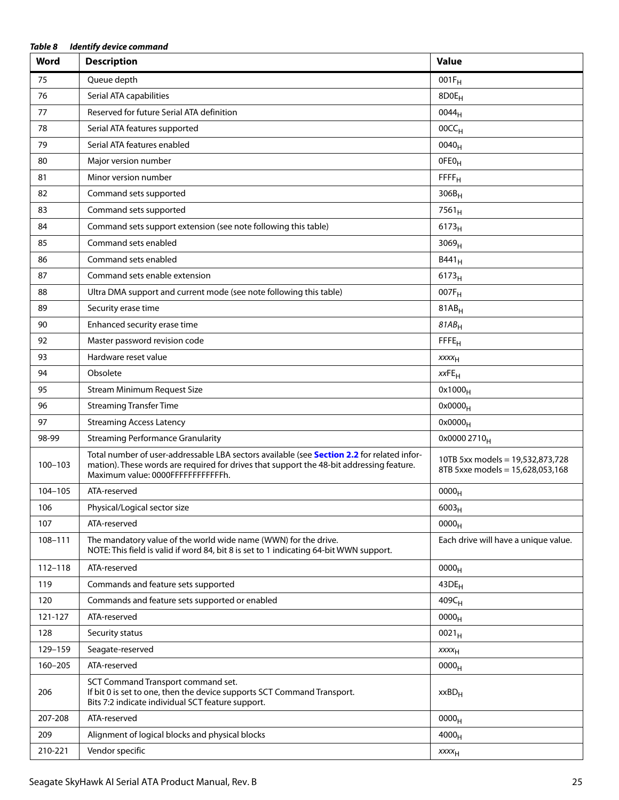| Table 8<br><b>Identify device command</b> |                                                                                                                                                                                                                              |                                                                      |  |
|-------------------------------------------|------------------------------------------------------------------------------------------------------------------------------------------------------------------------------------------------------------------------------|----------------------------------------------------------------------|--|
| Word                                      | <b>Description</b>                                                                                                                                                                                                           | <b>Value</b>                                                         |  |
| 75                                        | Queue depth                                                                                                                                                                                                                  | $001F_H$                                                             |  |
| 76                                        | Serial ATA capabilities                                                                                                                                                                                                      | 8D0E <sub>H</sub>                                                    |  |
| 77                                        | Reserved for future Serial ATA definition                                                                                                                                                                                    | 0044 <sub>H</sub>                                                    |  |
| 78                                        | Serial ATA features supported                                                                                                                                                                                                | 00CC <sub>H</sub>                                                    |  |
| 79                                        | Serial ATA features enabled                                                                                                                                                                                                  | $0040_H$                                                             |  |
| 80                                        | Major version number                                                                                                                                                                                                         | OFE <sub>OH</sub>                                                    |  |
| 81                                        | Minor version number                                                                                                                                                                                                         | FFFF <sub>H</sub>                                                    |  |
| 82                                        | Command sets supported                                                                                                                                                                                                       | $306B_H$                                                             |  |
| 83                                        | Command sets supported                                                                                                                                                                                                       | $7561_H$                                                             |  |
| 84                                        | Command sets support extension (see note following this table)                                                                                                                                                               | $6173_H$                                                             |  |
| 85                                        | Command sets enabled                                                                                                                                                                                                         | 3069 <sub>H</sub>                                                    |  |
| 86                                        | Command sets enabled                                                                                                                                                                                                         | $B441_H$                                                             |  |
| 87                                        | Command sets enable extension                                                                                                                                                                                                | $6173_H$                                                             |  |
| 88                                        | Ultra DMA support and current mode (see note following this table)                                                                                                                                                           | 007F <sub>H</sub>                                                    |  |
| 89                                        | Security erase time                                                                                                                                                                                                          | $81AB_H$                                                             |  |
| 90                                        | Enhanced security erase time                                                                                                                                                                                                 | $81AB_H$                                                             |  |
| 92                                        | Master password revision code                                                                                                                                                                                                | FFE <sub>H</sub>                                                     |  |
| 93                                        | Hardware reset value                                                                                                                                                                                                         | XXXH                                                                 |  |
| 94                                        | Obsolete                                                                                                                                                                                                                     | $xxFE$ H                                                             |  |
| 95                                        | <b>Stream Minimum Request Size</b>                                                                                                                                                                                           | $0x1000_H$                                                           |  |
| 96                                        | <b>Streaming Transfer Time</b>                                                                                                                                                                                               | $0x0000_H$                                                           |  |
| 97                                        | <b>Streaming Access Latency</b>                                                                                                                                                                                              | $0x0000_H$                                                           |  |
| 98-99                                     | <b>Streaming Performance Granularity</b>                                                                                                                                                                                     | 0x0000 2710 <sub>H</sub>                                             |  |
| $100 - 103$                               | Total number of user-addressable LBA sectors available (see Section 2.2 for related infor-<br>mation). These words are required for drives that support the 48-bit addressing feature.<br>Maximum value: 0000FFFFFFFFFFFFFh. | 10TB 5xx models = 19,532,873,728<br>8TB 5xxe models = 15,628,053,168 |  |
| 104-105                                   | ATA-reserved                                                                                                                                                                                                                 | $0000_{\mathsf{H}}$                                                  |  |
| 106                                       | Physical/Logical sector size                                                                                                                                                                                                 | $6003_H$                                                             |  |
| 107                                       | ATA-reserved                                                                                                                                                                                                                 | 0000 <sub>H</sub>                                                    |  |
| 108-111                                   | The mandatory value of the world wide name (WWN) for the drive.<br>NOTE: This field is valid if word 84, bit 8 is set to 1 indicating 64-bit WWN support.                                                                    | Each drive will have a unique value.                                 |  |
| 112-118                                   | ATA-reserved                                                                                                                                                                                                                 | 0000 <sub>H</sub>                                                    |  |
| 119                                       | Commands and feature sets supported                                                                                                                                                                                          | $43DE_H$                                                             |  |
| 120                                       | Commands and feature sets supported or enabled                                                                                                                                                                               | 409C <sub>H</sub>                                                    |  |
| 121-127                                   | ATA-reserved                                                                                                                                                                                                                 | 0000 <sub>H</sub>                                                    |  |
| 128                                       | Security status                                                                                                                                                                                                              | $0021_H$                                                             |  |
| 129-159                                   | Seagate-reserved                                                                                                                                                                                                             | XXXH                                                                 |  |
| $160 - 205$                               | ATA-reserved                                                                                                                                                                                                                 | 0000 <sub>H</sub>                                                    |  |
| 206                                       | SCT Command Transport command set.<br>If bit 0 is set to one, then the device supports SCT Command Transport.<br>Bits 7:2 indicate individual SCT feature support.                                                           | $xxBD_H$                                                             |  |
| 207-208                                   | ATA-reserved                                                                                                                                                                                                                 | 0000 <sub>H</sub>                                                    |  |
| 209                                       | Alignment of logical blocks and physical blocks                                                                                                                                                                              | 4000 <sub>H</sub>                                                    |  |
| 210-221                                   | Vendor specific                                                                                                                                                                                                              | $xxxx_{H}$                                                           |  |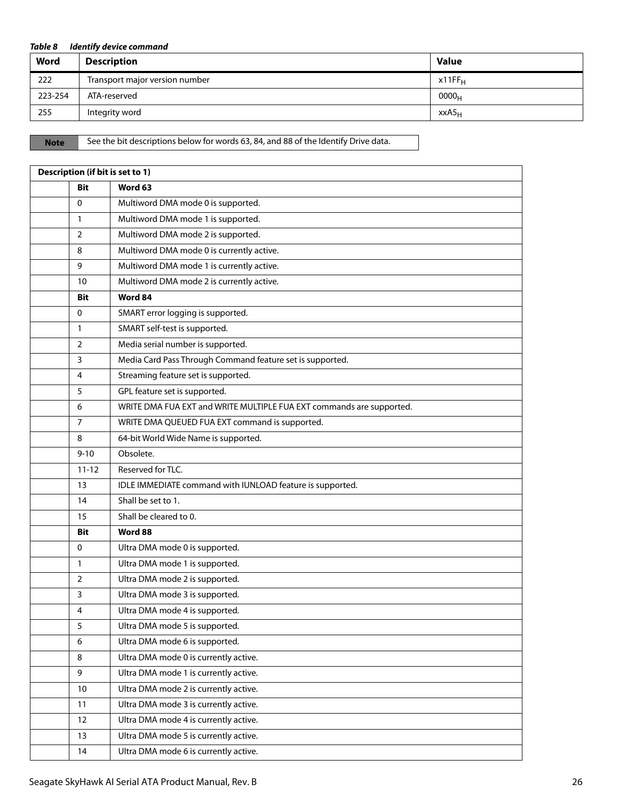### *Table 8 Identify device command*

| Word    | <b>Description</b>             | <b>Value</b>       |
|---------|--------------------------------|--------------------|
| 222     | Transport major version number | x11FF <sub>H</sub> |
| 223-254 | ATA-reserved                   | 0000 <sub>H</sub>  |
| 255     | Integrity word                 | xxA5 <sub>H</sub>  |

Note See the bit descriptions below for words 63, 84, and 88 of the Identify Drive data.

| Description (if bit is set to 1) |            |                                                                      |  |  |
|----------------------------------|------------|----------------------------------------------------------------------|--|--|
|                                  | <b>Bit</b> | Word 63                                                              |  |  |
| 0                                |            | Multiword DMA mode 0 is supported.                                   |  |  |
| 1                                |            | Multiword DMA mode 1 is supported.                                   |  |  |
| $\overline{2}$                   |            | Multiword DMA mode 2 is supported.                                   |  |  |
| 8                                |            | Multiword DMA mode 0 is currently active.                            |  |  |
| 9                                |            | Multiword DMA mode 1 is currently active.                            |  |  |
|                                  | 10         | Multiword DMA mode 2 is currently active.                            |  |  |
|                                  | <b>Bit</b> | Word 84                                                              |  |  |
| 0                                |            | SMART error logging is supported.                                    |  |  |
| $\mathbf{1}$                     |            | SMART self-test is supported.                                        |  |  |
| $\overline{2}$                   |            | Media serial number is supported.                                    |  |  |
| 3                                |            | Media Card Pass Through Command feature set is supported.            |  |  |
| 4                                |            | Streaming feature set is supported.                                  |  |  |
| 5                                |            | GPL feature set is supported.                                        |  |  |
| 6                                |            | WRITE DMA FUA EXT and WRITE MULTIPLE FUA EXT commands are supported. |  |  |
| $\overline{7}$                   |            | WRITE DMA QUEUED FUA EXT command is supported.                       |  |  |
| 8                                |            | 64-bit World Wide Name is supported.                                 |  |  |
|                                  | $9 - 10$   | Obsolete.                                                            |  |  |
|                                  | $11 - 12$  | Reserved for TLC.                                                    |  |  |
|                                  | 13         | IDLE IMMEDIATE command with IUNLOAD feature is supported.            |  |  |
|                                  | 14         | Shall be set to 1.                                                   |  |  |
|                                  | 15         | Shall be cleared to 0.                                               |  |  |
|                                  | <b>Bit</b> | Word 88                                                              |  |  |
| $\Omega$                         |            | Ultra DMA mode 0 is supported.                                       |  |  |
| $\mathbf{1}$                     |            | Ultra DMA mode 1 is supported.                                       |  |  |
| $\overline{2}$                   |            | Ultra DMA mode 2 is supported.                                       |  |  |
| 3                                |            | Ultra DMA mode 3 is supported.                                       |  |  |
| 4                                |            | Ultra DMA mode 4 is supported.                                       |  |  |
| 5                                |            | Ultra DMA mode 5 is supported.                                       |  |  |
| 6                                |            | Ultra DMA mode 6 is supported.                                       |  |  |
| 8                                |            | Ultra DMA mode 0 is currently active.                                |  |  |
| 9                                |            | Ultra DMA mode 1 is currently active.                                |  |  |
|                                  | 10         | Ultra DMA mode 2 is currently active.                                |  |  |
|                                  | 11         | Ultra DMA mode 3 is currently active.                                |  |  |
|                                  | 12         | Ultra DMA mode 4 is currently active.                                |  |  |
|                                  | 13         | Ultra DMA mode 5 is currently active.                                |  |  |
|                                  | 14         | Ultra DMA mode 6 is currently active.                                |  |  |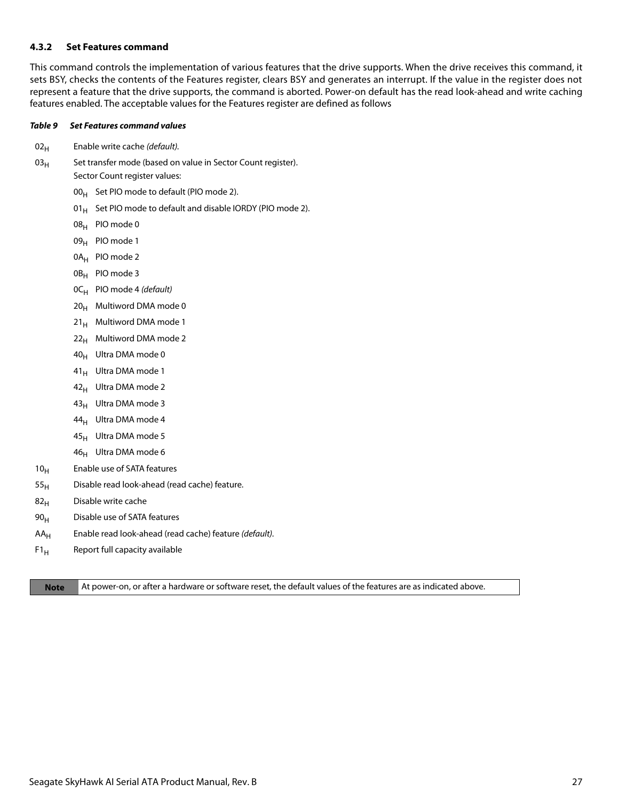### <span id="page-27-0"></span>**4.3.2 Set Features command**

This command controls the implementation of various features that the drive supports. When the drive receives this command, it sets BSY, checks the contents of the Features register, clears BSY and generates an interrupt. If the value in the register does not represent a feature that the drive supports, the command is aborted. Power-on default has the read look-ahead and write caching features enabled. The acceptable values for the Features register are defined as follows

### *Table 9 Set Features command values*

- $02_H$  Enable write cache (default).
- $03_H$  Set transfer mode (based on value in Sector Count register). Sector Count register values:
	- $00_H$  Set PIO mode to default (PIO mode 2).
	- 01 $_{\rm H}$  Set PIO mode to default and disable IORDY (PIO mode 2).
	- 08H PIO mode 0
	- 09<sub>H</sub> PIO mode 1
	- 0A<sub>H</sub> PIO mode 2
	- 0B<sub>H</sub> PIO mode 3
	- $OC_H$  PIO mode 4 (default)
	- $20_H$  Multiword DMA mode 0
	- $21_H$  Multiword DMA mode 1
	- $22<sub>H</sub>$  Multiword DMA mode 2
	- 40H Ultra DMA mode 0
	- 41<sub>H</sub> Ultra DMA mode 1
	- $42_H$  Ultra DMA mode 2
	- $43_H$  Ultra DMA mode 3
	- $44_H$  Ultra DMA mode 4
	- $45_H$  Ultra DMA mode 5
	- $46_H$  Ultra DMA mode 6
- 10<sub>H</sub> Enable use of SATA features
- $55<sub>H</sub>$  Disable read look-ahead (read cache) feature.
- $82<sub>H</sub>$  Disable write cache
- $90<sub>H</sub>$  Disable use of SATA features
- $AA_H$  Enable read look-ahead (read cache) feature (default).
- $F1_H$  Report full capacity available

**Note** At power-on, or after a hardware or software reset, the default values of the features are as indicated above.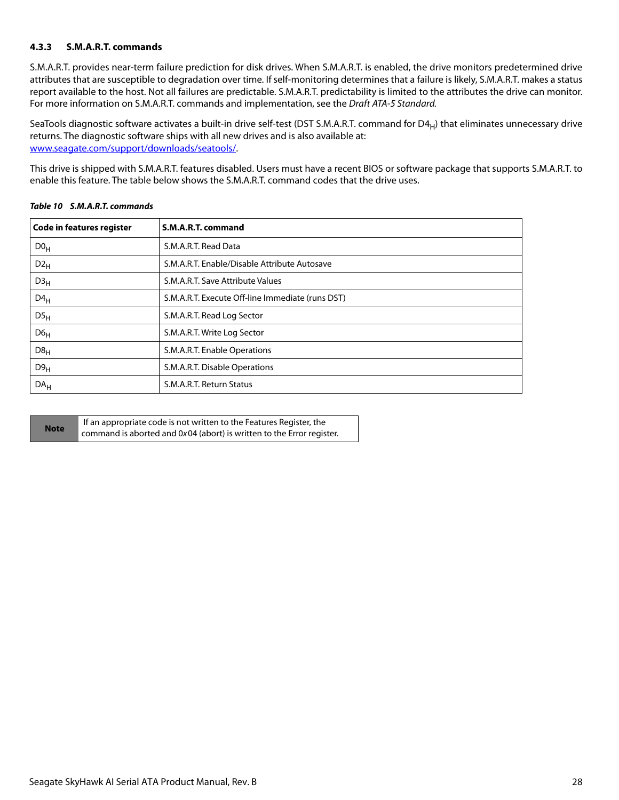### <span id="page-28-0"></span>**4.3.3 S.M.A.R.T. commands**

S.M.A.R.T. provides near-term failure prediction for disk drives. When S.M.A.R.T. is enabled, the drive monitors predetermined drive attributes that are susceptible to degradation over time. If self-monitoring determines that a failure is likely, S.M.A.R.T. makes a status report available to the host. Not all failures are predictable. S.M.A.R.T. predictability is limited to the attributes the drive can monitor. For more information on S.M.A.R.T. commands and implementation, see the Draft ATA-5 Standard.

SeaTools diagnostic software activates a built-in drive self-test (DST S.M.A.R.T. command for  $D4_H$ ) that eliminates unnecessary drive returns. The diagnostic software ships with all new drives and is also available at: [www.seagate.com/support/downloads/seatools/.](http://www.seagate.com/support/downloads/seatools/ )

This drive is shipped with S.M.A.R.T. features disabled. Users must have a recent BIOS or software package that supports S.M.A.R.T. to enable this feature. The table below shows the S.M.A.R.T. command codes that the drive uses.

| <b>Code in features register</b> | S.M.A.R.T. command                               |
|----------------------------------|--------------------------------------------------|
| D0 <sub>H</sub>                  | S.M.A.R.T. Read Data                             |
| $D2_H$                           | S.M.A.R.T. Enable/Disable Attribute Autosave     |
| D3 <sub>H</sub>                  | S.M.A.R.T. Save Attribute Values                 |
| $D4_H$                           | S.M.A.R.T. Execute Off-line Immediate (runs DST) |
| DS <sub>H</sub>                  | S.M.A.R.T. Read Log Sector                       |
| D6 <sub>H</sub>                  | S.M.A.R.T. Write Log Sector                      |
| D8 <sub>H</sub>                  | S.M.A.R.T. Enable Operations                     |
| D9 <sub>H</sub>                  | S.M.A.R.T. Disable Operations                    |
| DA <sub>H</sub>                  | S.M.A.R.T. Return Status                         |

### *Table 10 S.M.A.R.T. commands*

|             | If an appropriate code is not written to the Features Register, the   |
|-------------|-----------------------------------------------------------------------|
| <b>Note</b> | command is aborted and 0x04 (abort) is written to the Error register. |